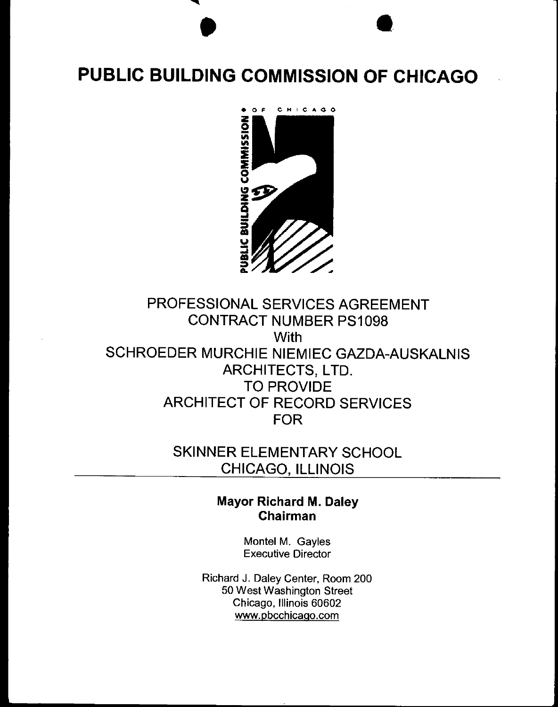# **PUBLIC BUILDING COMMISSION OF CHICAGO**

 $\bullet$   $\bullet$ 



# PROFESSIONAL SERVICES AGREEMENT CONTRACT NUMBER PS1098 **With** SCHROEDER MURCHIE NIEMIEC GAZDA-AUSKALNIS ARCHITECTS, LTD. TO PROVIDE ARCHITECT OF RECORD SERVICES FOR

# SKINNER ELEMENTARY SCHOOL CHICAGO, ILLINOIS

# Mayor Richard M. Daley Chairman

Montel M. Gayles Executive Director

Richard J. Daley Center, Room 200 50 West Washington Street Chicago, Illinois 60602 www.pbcchicago.com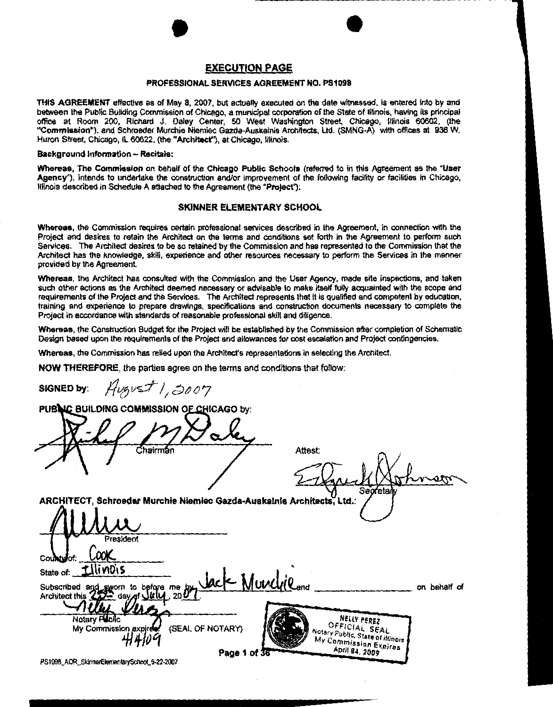# $\bullet$ EXECUTION PAGE

#### PROFESSIONAL SERVICES AGREEMENT NO. PS1098

THIS AGREEMENT effective as of May 8, 2007, but actually executed on the date witnessed, is entered into by and between the Public Building Commission of Chicago, a municipal corporation of the State of Illinois, having its principal office at Room 200, Richard J. Daley Center, 50 West Washington Street, Chicago, Illinois 60602, (the "Commission"), and Schroeder Murchie Niemiec Gazda-Auskalnis Architects, ltd. (SMNG-A) with offices at 936 W. Huron Street, Chicago, IL 60622, (the "Architect"), at Chicago, Illinois.

#### Background Information - Recitals:

Whereas, The Commission on behalf of the Chicago Public Schools (referred to in this Agreement as the 'User Agency"). intends to undertake the construction and/or improvement of the following facility or facilities in Chicago. Illinois described in Schedule A attached to the Agreement (the "Project"):

#### SKINNER ELEMENTARY SCHOOL

Whereas, the Commission requires certain professional services described in the Agreement, in connection with the Project and desires to retain the Architect on the terms and conditions set forth in the Agreement to perform such Services. The Architect desires to be so retained by the Commission and has represented to the Commission that the Architect has the knowledge, skill, experience and other resources necessary to perform the Services in the manner provided by the Agreement.

Whereas, the Architect has consulted with the Commission and the User Agency, made site inspections, and taken such other actions as the Architect deemed necessary or advisable to make itself fully acquainted with the scope and requirements of the Project and the Services. The Architect represents that It is qualified and competent by education, training and experience to prepare drawings, specifications and construction documents necessary to complete the Project in accordance with standards of reasonable professional skill and diligence.

Whereas, the Construction Budget for the Project will be established by the Commission after completion of Schematic Design based upon the requirements of the Project and allowances for cost escalation and Project contingencies.

Whereas, the Commission has relied upon the Architect's representations in selecting the Architect.

NOW THEREFORE, the parties agree on the terms and conditions that follow:

 $s$ igned by:  $Hv$ g $v$ s $t$  /, 3007

PUBLIC BUILDING COMMISSION OF CHICAGO by:

Attest: Se

ARCHITECT, Schroeder Murchie Niemiec Gazda-Auskalnis Architects, Ltd.:

resident .WK tllinois State of: - Muncyleand Subscribed and<br>Architect this  $d$  sworn to before me by<br> $D -$  day of  $U$   $U$  200 on behalf of Notary Fublic<br>My Commission expired (SEAL OF NOTARY) Notary PIELLY PEREZ<br>Notary Public SEAL (SEAL OF NOTARY) Notary Public, State of Illinois otaly Public, State of Illinois ...<br>My Commission Expire Page 1 of 36 **Page 1 of 36** PS1098\_AOR\_SkinnerElementarySchool\_6-22-2007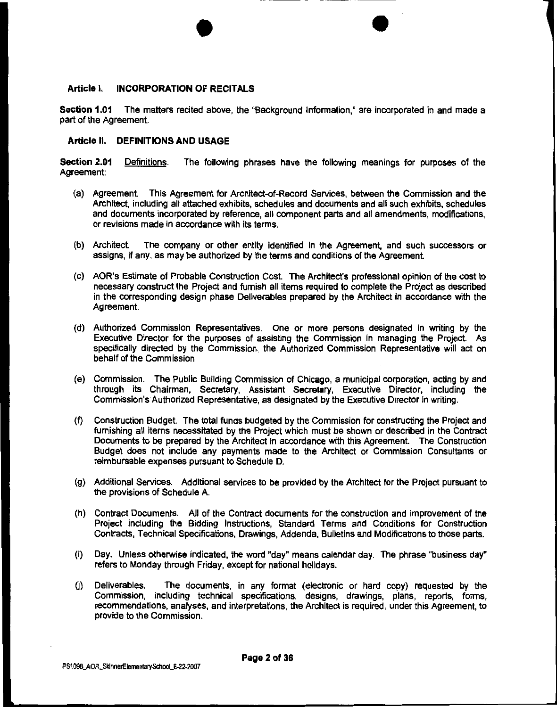#### **Article I. INCORPORATION OF RECITALS**

**Section 1.01** The matters recited above, the "Background Information," are incorporated in and made a part of the Agreement.

 $\bullet$ 

#### **Article II. DEFINITIONS AND USAGE**

**Section 2.01** Definitions. The following phrases have the following meanings for purposes of the Agreement:

- (a) Agreement. This Agreement for Architect-of-Record Services, between the Commission and the Architect, including all attached exhibits, schedules and documents and all such exhibits, schedules and documents incorporated by reference, all component parts and all amendments, modifications, or revisions made in accordance with its terms.
- (b) Architect. The company or other entity identified in the Agreement, and such successors or assigns, if any, as may be authorized by the terms and conditions of the Agreement.
- (c) AOR's Estimate of Probable Construction Cost. The Architect's professional opinion of the cost to necessary construct the Project and furnish all items required to complete the Project as described in the corresponding design phase Deliverables prepared by the Architect in accordance with the Agreement.
- (d) Authorized Commission Representatives. One or more persons designated in writing by the Executive Director for the purposes of assisting the Commission in managing the Project. As specifically directed by the Commission, the Authorized Commission Representative will act on behalf of the Commission
- (e) Commission. The Public Building Commission of Chicago, a municipal corporation, acting by and through its Chairman, Secretary, Assistant Secretary, Executive Director, including the Commission's Authorized Representative, as designated by the Executive Director in writing.
- (f) Construction Budget. The total funds budgeted by the Commission for constructing the Project and furnishing all items necessitated by the Project which must be shown or described in the Contract Documents to be prepared by the Architect in accordance with this Agreement. The Construction Budget does not include any payments made to the Architect or Commission Consultants or reimbursable expenses pursuant to Schedule D.
- (g) Additional Services. Additional services to be provided by the Architect for the Project pursuant to the provisions of Schedule A.
- (h) Contract Documents. All of the Contract documents for the construction and improvement of the Project including the Bidding Instructions, Standard Terms and Conditions for Construction Contracts, Technical Specifications, Drawings, Addenda, Bulletins and Modifications to those parts.
- (i) Day. Unless otherwise indicated, the word "day" means calendar day. The phrase "business day" refers to Monday through Friday, except for national holidays.
- (j) Deliverables. The documents, in any format (electronic or hard copy) requested by the Commission, including technical specifications, designs, drawings, plans, reports, forms, recommendations, analyses, and interpretations, the Architect is required, under this Agreement, to provide to the Commission.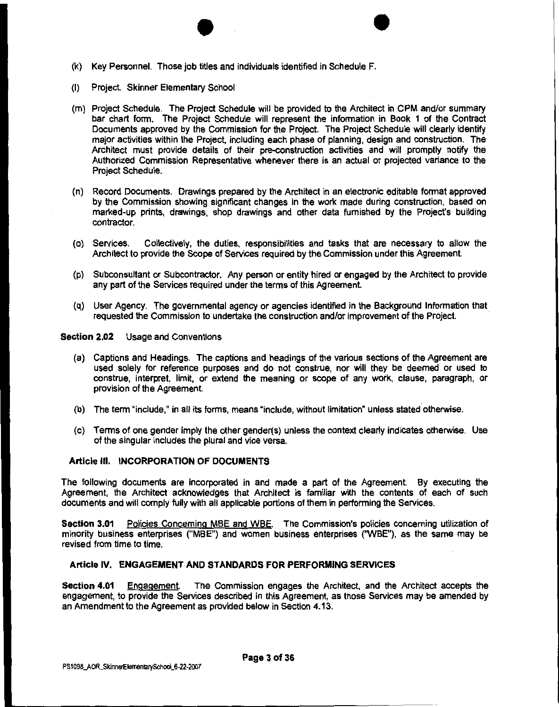

- {I) Project. Skinner Elementary School
- {m) Project Schedule. The Project Schedule will be provided to the Architect in CPM and/or summary bar chart form. The Project Schedule will represent the information in Book 1 of the Contract Documents approved by the Commission for the Project. The Project Schedule will clearly identify major activities within the Project, including each phase of planning, design and construction. The Architect must provide details of their pre-construction activities and will promptly notify the Authorized Commission Representative whenever there is an actual or projected variance to the Project Schedule.
- (n) Record Documents. Drawings prepared by the Architect in an electronic editable format approved by the Commission showing significant changes in the work made during construction, based on marked-up prints, drawings, shop drawings and other data furnished by the Projecfs building contractor.
- {o) Services. Collectively, the duties, responsibilities and tasks that are necessary to allow the Architect to provide the Scope of Services required by the Commission under this Agreement.
- (p) Subconsultant or Subcontractor. Any person or entity hired or engaged by the Architect to provide any part of the Services required under the terms of this Agreement.
- (q) User Agency. The governmental agency or agencies identified in the Background Information that requested the Commission to undertake the construction and/or improvement of the Project.

**Section 2.02** Usage and Conventions

- {a) Captions and Headings. The captions and headings of the various sections of the Agreement are used solely for reference purposes and do not construe, nor will they be deemed or used to construe, interpret, limtt, or extend the meaning or scope of any work, clause, paragraph, or provision of the Agreement.
- {b) The term "include,' in all its forms, means "include, without limitation" unless stated otherwise.
- {c) Terms of one gender imply the other gender(s) unless the context clearty indicates otherwise. Use of the singular includes the plural and vice versa.

#### **Article Ill. INCORPORATION OF DOCUMENTS**

The following documents are incorporated in and made a part of the Agreement. By executing the Agreement, the Architect acknowledges that Architect is familiar with the contents of each of such documents and will comply fully with all applicable portions of them in performing the Services.

**Section 3.01** Policies Concerning MBE and WBE. The Commission's policies concerning utilization of minority business enterprises ("MBE") and women business enterprises {'WBE"), as the same may be revised from time to time.

#### **Article IV. ENGAGEMENT AND STANDARDS FOR PERFORMING SERVICES**

**Section 4.01** Engagement. The Commission engages the Architect, and the Architect accepts the engagement, to provide the Services described in this Agreement, as those Services may be amended by an Amendment to the Agreement as provided below in Section 4.13.

**Page 3 of 36**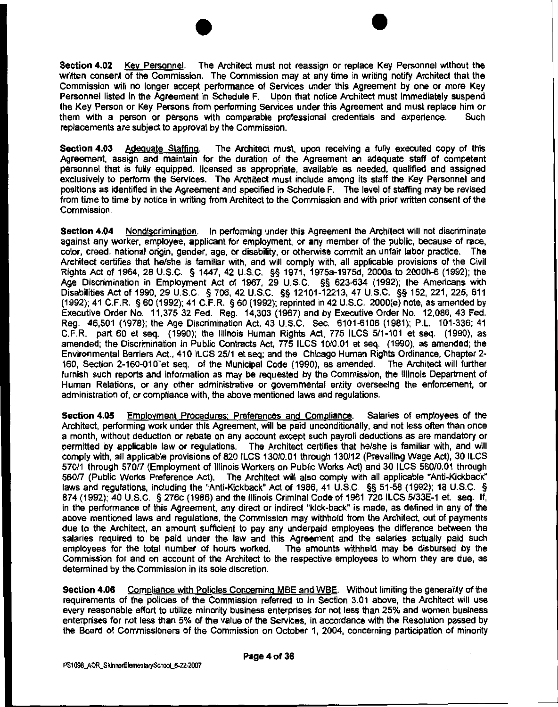$\bullet$   $\bullet$   $\bullet$ Section 4.02 Key Personnel. The Architect must not reassign or replace Key Personnel without the written consent of the Commission. The Commission may at any time in writing notify Architect that the Commission will no longer accept performance of Services under this Agreement by one or more Key Personnel listed in the Agreement in Schedule F. Upon that notice Architect must immediately suspend the Key Person or Key Persons from performing Services under this Agreement and must replace him or<br>them with a person or persons with comparable professional credentials and experience. Such them with a person or persons with comparable professional credentials and experience. replacements are subject to approval by the Commission.

Section 4.03 Adequate Staffing. The Architect must, upon receiving a fully executed copy of this Agreement, assign and maintain for the duration of the Agreement an adequate staff of competent personnel that is fully equipped, licensed as appropriate, available as needed, qualified and assigned exclusively to perform the Services. The Architect must include among its staff the Key Personnel and positions as identified in the Agreement and specified in Schedule F. The level of staffing may be revised from time to time by notice in writing from Architect to the Commission and with prior written consent of the Commission.

Section 4.04 Nondiscrimination. In performing under this Agreement the Architect will not discriminate against any worker, employee, applicant for employment, or any member of the public, because of race, color, creed, national origin, gender, age, or disability, or otherwise commit an unfair labor practice. The Architect certifies that he/she is familiar with, and will comply with, all applicable provisions of the Civil Rights Act of 1964, 28 U.S.C. § 1447, 42 U.S.C. §§ 1971, 1975a-1975d, 2000a to 2000h-6 (1992); the Age Discrimination in Employment Act of 1967, 29 U.S.C. §§ 623-634 (1992); the Americans with Disabilities Act of 1990, 29 U.S.C. § 706, 42 U.S.C. §§ 12101-12213, 47 U.S.C. §§ 152, 221, 225, 611 (1992); 41 C.F.R. § 60 (1992); 41 C.F.R. § 60 (1992); reprinted in 42 U.S.C. 2000(e) note, as amended by Executive Order No. 11,375 32 Fed. Reg. 14,303 (1967) and by Executive Order No. 12,086, 43 Fed. Reg. 46,501 (1978); the Age Discrimination Act, 43 U.S.C. Sec. 6101-6106 (1981); P.L. 101-336; 41 C.F.R. part 60 et seq. (1990); the Illinois Human Rights Act, 775 ILCS 511-101 et seq. (1990), as amended; the Discrimination in Public Contracts Act, 775 ILCS 10/0.01 et seq. (1990), as amended; the Environmental Barriers Act., 410 ILCS 25/1 et seq; and the Chicago Human Rights Ordinance, Chapter 2- 160, Section 2-160-010 et seq. of the Municipal Code (1990), as amended. The Architect will further furnish such reports and information as may be requested by the Commission, the Illinois Department of Human Relations, or any other administrative or governmental entity overseeing the enforcement, or administration of, or compliance with, the above mentioned laws and regulations.

Section 4.05 Employment Procedures: Preferences and Compliance. Salaries of employees of the Architect, performing work under this Agreement, will be paid unconditionally, and not less often than once a month, without deduction or rebate on any account except such payroll deductions as are mandatory or permitted by applicable law or regulations. The Architect certifies that he/she is familiar with, and will comply with, all applicable provisions of 820 ILCS 130/0.01 through 130/12 (Prevailing Wage Act), 30 ILCS 570/1 through 570/7 (Employment of Illinois Workers on Public Works Act) and 30 ILCS 560/0.01 through 560/7 (Public Works Preference Act). The Architect will also comply with all applicable "Anti-Kickback" laws and regulations, including the "Anti-Kickback" Act of 1986, 41 U.S.C. §§ 51-58 (1992); 18 U.S.C. § 874 (1992); 40 U.S.C. § 276c (1986) and the Illinois Criminal Code of 1961 720 ILCS 5/33E-1 et. seq. If, in the performance of this Agreement, any direct or indirect "kick-back" is made, as defined in any of the above mentioned laws and regulations, the Commission may withhold from the Architect, out of payments due to the Architect, an amount sufficient to pay any underpaid employees the difference between the salaries required to be paid under the law and this Agreement and the salaries actually paid such<br>employees for the total number of hours worked. The amounts withheld may be disbursed by the employees for the total number of hours worked. Commission for and on account of the Architect to the respective employees to whom they are due, as determined by the Commission in its sole discretion.

Section 4.06 Compliance with Policies Concerning MBE and WBE. Without limiting the generality of the requirements of the policies of the Commission referred to in Section 3.01 above, the Architect will use every reasonable effort to utilize minority business enterprises for not less than 25% and women business enterprises for not less than 5% of the value of the Services, in accordance with the Resolution passed by the Board of Commissioners of the Commission on October 1, 2004, concerning participation of minority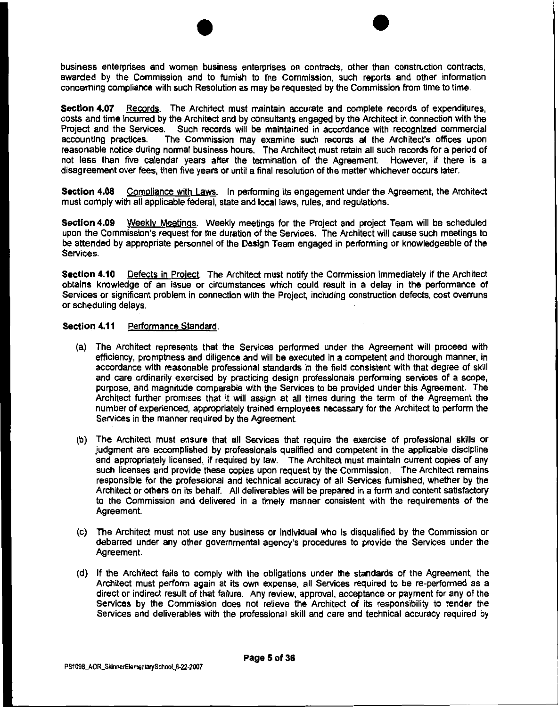$\bullet$  •  $\bullet$   $\bullet$ business enterprises and women business enterprises on contracts, other than construction contracts, awarded by the Commission and to furnish to the Commission, such reports and other information concerning compliance with such Resolution as may be requested by the Commission from time to time.

Section 4.07 Records. The Architect must maintain accurate and complete records of expenditures, costs and time incurred by the Architect and by consultants engaged by the Architect in connection with the Project and the Services. Such records will be maintained in accordance with recognized commercial accounting practices. The Commission may examine such records at the Architect's offices upon The Commission may examine such records at the Architect's offices upon reasonable notice during normal business hours. The Architect must retain all such records for a period of not less than five calendar years after the termination of the Agreement. However, if there is a disagreement over fees, then five years or until a final resolution of the matter whichever occurs later.

Section 4.08 Compliance with Laws. In performing its engagement under the Agreement, the Architect must comply with all applicable federal, state and local laws, rules, and regulations.

Section 4.09 Weekly Meetings. Weekly meetings for the Project and project Team will be scheduled upon the Commission's request for the duration of the Services. The Architect will cause such meetings to be attended by appropriate personnel of the Design Team engaged in performing or knowledgeable of the Services.

Section 4.10 Defects in Project. The Architect must notify the Commission immediately if the Architect obtains knowledge of an issue or circumstances which could result in a delay in the performance of Services or significant problem in connection with the Project, including construction defects, cost overruns or scheduling delays.

#### Section 4.11 Performance Standard.

- (a) The Architect represents that the Services performed under the Agreement will proceed with efficiency, promptness and diligence and will be executed in a competent and thorough manner, in accordance with reasonable professional standards in the field consistent with that degree of skill and care ordinarily exercised by practicing design professionals performing services of a scope, purpose, and magnitude comparable with the Services to be provided under this Agreement. The Architect further promises that it will assign at all times during the term of the Agreement the number of experienced, appropriately trained employees necessary for the Architect to perform the Services in the manner required by the Agreement.
- (b) The Architect must ensure that all Services that require the exercise of professional skills or judgment are accomplished by professionals qualified and competent in the applicable discipline and appropriately licensed, if required by law. The Architect must maintain current copies of any such licenses and provide these copies upon request by the Commission. The Architect remains responsible for the professional and technical accuracy of all Services furnished, whether by the Architect or others on its behalf. All deliverables will be prepared in a form and content satisfactory to the Commission and delivered in a timely manner consistent with the requirements of the Agreement.
- (c) The Architect must not use any business or individual who is disqualified by the Commission or debarred under any other governmental agency's procedures to provide the Services under the Agreement.
- (d) If the Architect fails to comply with the obligations under the standards of the Agreement, the Architect must perform again at its own expense, all Services required to be re-performed as a direct or indirect result of that failure. Any review, approval, acceptance or payment for any of the Services by the Commission does not relieve the Architect of its responsibility to render the Services and deliverables with the professional skill and care and technical accuracy required by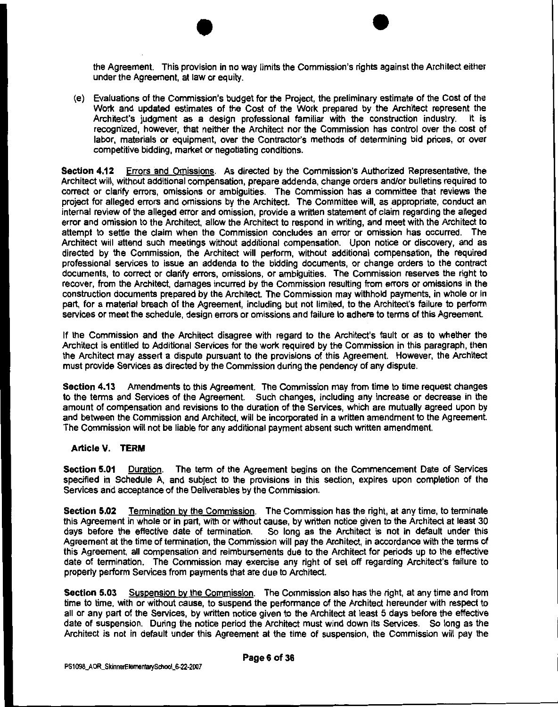$\bullet$   $\bullet$   $\bullet$ the Agreement. This provision in no way limits the Commission's rights against the Architect either under the Agreement, at law or equity.

(e) Evaluations of the Commission's budget for the Project, the preliminary estimate of the Cost of the Work and updated estimates of the Cost of the Work prepared by the Architect represent the Architect's judgment as a design professional familiar with the construction industry. It is recognized, however, that neither the Architect nor the Commission has control over the cost of labor, materials or equipment, over the Contractor's methods of determining bid prices, or over competitive bidding, market or negotiating conditions.

Section 4.12 Errors and Omissions. As directed by the Commission's Authorized Representative, the Architect will, without additional compensation, prepare addenda, change orders and/or bulletins required to correct or clarify errors, omissions or ambiguities. The Commission has a committee that reviews the project for alleged errors and omissions by the Architect. The Committee will, as appropriate, conduct an internal review of the alleged error and omission, provide a written statement of claim regarding the alleged error and omission to the Architect, allow the Architect to respond in writing, and meet with the Architect to attempt to settle the claim when the Commission concludes an error or omission has occurred. The Architect will attend such meetings without additional compensation. Upon notice or discovery, and as directed by the Commission, the Architect will perform, without additional compensation, the required professional services to issue an addenda to the bidding documents, or change orders to the contract documents, to correct or clarify errors, omissions, or ambiguities. The Commission reserves the right to recover, from the Architect, damages incurred by the Commission resulting from errors or omissions in the construction documents prepared by the Architect. The Commission may withhold payments, in whole or in part, for a material breach of the Agreement, including but not limited, to the Architect's failure to perform services or meet the schedule, design errors or omissions and failure to adhere to terms of this Agreement.

If the Commission and the Architect disagree with regard to the Architect's fault or as to whether the Architect is entitled to Additional Services for the work required by the Commission in this paragraph, then the Architect may assert a dispute pursuant to the provisions of this Agreement. However, the Architect must provide Services as directed by the Commission during the pendency of any dispute.

Section 4.13 Amendments to this Agreement. The Commission may from time to time request changes to the terms and Services of the Agreement. Such changes, including any increase or decrease in the amount of compensation and revisions to the duration of the Services, which are mutually agreed upon by and between the Commission and Architect, will be incorporated in a written amendment to the Agreement. The Commission will not be liable for any additional payment absent such written amendment.

#### Article v. TERM

Section 5.01 Duration. The term of the Agreement begins on the Commencement Date of Services specified in Schedule A, and subject to the provisions in this section, expires upon completion of the Services and acceptance of the Deliverables by the Commission.

Section 5.02 Termination by the Commission. The Commission has the right, at any time, to terminate this Agreement in whole or in part, with or without cause, by written notice given to the Architect at least 30 days before the effective date of termination. So long as the Architect is not in default under this Agreement at the time of termination, the Commission will pay the Architect, in accordance with the terms of this Agreement, all compensation and reimbursements due to the Architect for periods up to the effective date of termination. The Commission may exercise any right of set off regarding Architect's failure to properly perform Services from payments that are due to Architect.

Section 5.03 Suspension by the Commission. The Commission also has the right, at any time and from time to time, with or without cause, to suspend the performance of the Architect hereunder with respect to all or any part of the Services, by written notice given to the Architect at least 5 days before the effective date of suspension. During the notice period the Architect must wind down its Services. So long as the Architect is not in default under this Agreement at the time of suspension, the Commission will pay the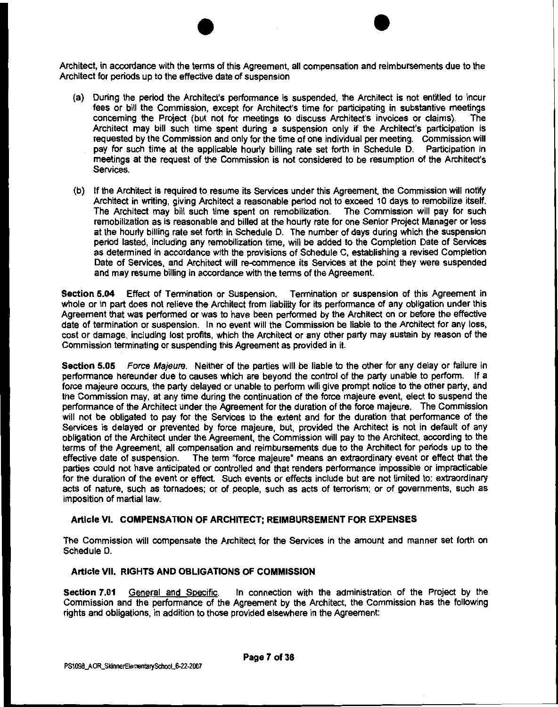$\bullet$   $\bullet$ Architect, in accordance with the terms of this Agreement, all compensation and reimbursements due to the Architect for periods up to the effective date of suspension

- (a) During the period the Architect's performance is suspended, the Architect is not entitled to incur fees or bill the Commission, except for Architect's time for participating in substantive meetings concerning the Project (but not for meetings to discuss Architect's invoices or claims). The Architect may bill such time spent during a suspension only if the Architect's participation is requested by the Commission and only for the time of one individual per meeting. Commission will pay for such lime at the applicable hourly billing rate set forth in Schedule D. Participation in meetings at the request of the Commission is not considered to be resumption of the Architect's Services.
- (b) If the Architect is required to resume its Services under this Agreement, the Commission will notify Architect in writing, giving Architect a reasonable period not to exceed 10 days to remobilize itself. The Architect may bill such time spent on remobilization. The Commission will pay for such remobilization as is reasonable and billed at the hourly rate for one Senior Project Manager or less at the hourly billing rate set forth in Schedule D. The number of days during which the suspension period lasted, including any remobilization time, will be added to the Completion Date of Services as determined in accordance with the provisions of Schedule C, establishing a revised Completion Date of Services, and Architect will re-commence its Services at the point they were suspended and may resume billing in accordance with the terms of the Agreement.

Section 5.04 Effect of Termination or Suspension. Termination or suspension of this Agreement in whole or in part does not relieve the Architect from liability for its performance of any obligation under this Agreement that was performed or was to have been performed by the Architect on or before the effective date of termination or suspension. In no event will the Commission be liable to the Architect for any loss, cost or damage, including lost profrts, which the Architect or any other party may sustain by reason of the Commission terminating or suspending this Agreement as provided in it.

Section 5.05 Force Majeure. Neither of the parties will be liable to the other for any delay or failure in performance hereunder due to causes which are beyond the control of the party unable to perform. If a force majeure occurs, the party delayed or unable to perform will give prompt notice to the other party, and the Commission may, at any time during the continuation of the force majeure event, elect to suspend the performance of the Architect under the Agreement for the duration of the force majeure. The Commission will not be obligated to pay for the Services to the extent and for the duration that performance of the Services is delayed or prevented by force majeure, but, provided the Architect is not in default of any obligation of the Architect under the Agreement, the Commission will pay to the Architect, according to the terms of the Agreement, all compensation and reimbursements due to the Architect for periods up to the effective date of suspension. The term "force majeure" means an extraordinary event or effect that the parties could not have anticipated or controlled and that renders performance impossible or impracticable for the duration of the event or effect. Such events or effects include but are not limited to: extraordinary acts of nature, such as tornadoes; or of people, such as acts of terrorism; or of governments, such as imposition of martial law.

#### Article VI. COMPENSATION OF ARCHITECT; REIMBURSEMENT FOR EXPENSES

The Commission will compensate the Architect for the Services in the amount and manner set forth on Schedule D.

#### Article VII. RIGHTS AND OBLIGATIONS OF COMMISSION

Section 7.01 General and Specific. In connection with the administration of the Project by the Commission and the performance of the Agreement by the Architect, the Commission has the following rights and obligations, in addition to those provided elsewhere in the Agreement: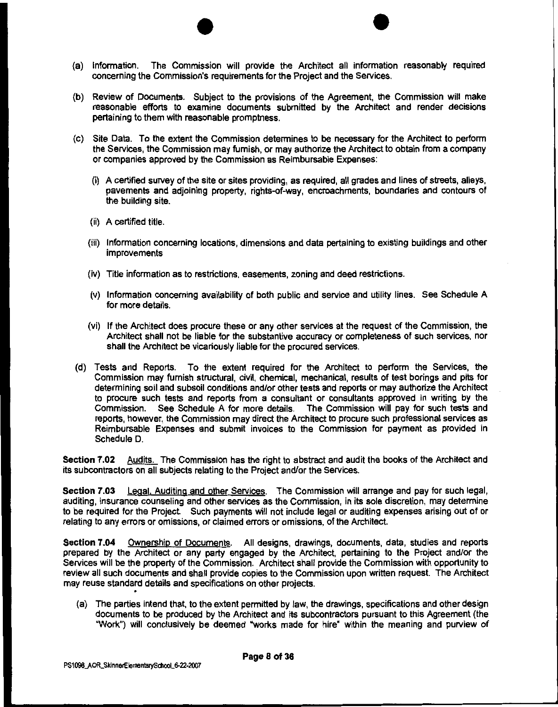- $\bullet$   $\bullet$ (a) Information. The Commission will provide the Architect all information reasonably required concerning the Commission's requirements for the Project and the Services.
- **(b)** Review of Documents. Subject to the provisions of the Agreement, the Commission will make reasonable efforts to examine documents submitted by the Architect and render decisions pertaining to them with reasonable promptness.
- (c) Site Data. To the extent the Commission determines to be necessary for the Architect to perform the Services, the Commission may furnish, or may authorize the Architect to obtain from a company or companies approved by the Commission as Reimbursable Expenses:
	- (i) A certified survey of the site or sites providing, as required, all grades and lines of streets, alleys, pavements and adjoining property, rights-of-way, encroachments, boundaries and contours of the building site.
	- (ii) A certified title.
	- (iii) Information concerning locations, dimensions and data pertaining to existing buildings and other improvements
	- (iv) Title information as to restrictions, easements, zoning and deed restrictions.
	- (v) Information concerning availability of both public and service and utility lines. See Schedule A for more details.
	- (vi) If the Architect does procure these or any other services at the request of the Commission, the Architect shall not be liable for the substantive accuracy or completeness of such services, nor shall the Architect be vicariously liable for the procured services.
- (d) Tests and Reports. To the extent required for the Architect to perform the Services, the Commission may furnish structural, civil, chemical, mechanical, results of test borings and pits for determining soil and subsoil conditions and/or other tests and reports or may authorize the Architect to procure such tests and reports from a consultant or consultants approved in writing by the Commission. See Schedule A for more details. The Commission will pay for such tests and reports, however, the Commission may direct the Architect to procure such professional services as Reimbursable Expenses and submit invoices to the Commission for payment as provided in Schedule D.

**Section 7.02** Audits. The Commission has the right to abstract and audit the books of the Architect and its subcontractors on all subjects relating to the Project and/or the Services.

**Section 7.03** Legal. Auditing and other Services. The Commission will arrange and pay for such legal, auditing, insurance counseling and other services as the Commission, in its sole discretion, may determine to be required for the Project. Such payments will not include legal or auditing expenses arising out of or relating to any errors or omissions, or claimed errors or omissions, of the Architect.

**Section 7.04** Ownership of Documents. All designs, drawings, documents, data, studies and reports prepared by the Architect or any party engaged by the Architect, pertaining to the Project and/or the Services will be the property of the Commission. Architect shall provide the Commission with opportunity to review all such documents and shall provide copies to the Commission upon written request. The Architect may reuse standard details and specifications on other projects.

(a) The parties intend that, to the extent permitted by law, the drawings, specifications and other design documents to be produced by the Architect and its subcontractors pursuant to this Agreement (the "Work") will conclusively be deemed "works made for hire" within the meaning and purview of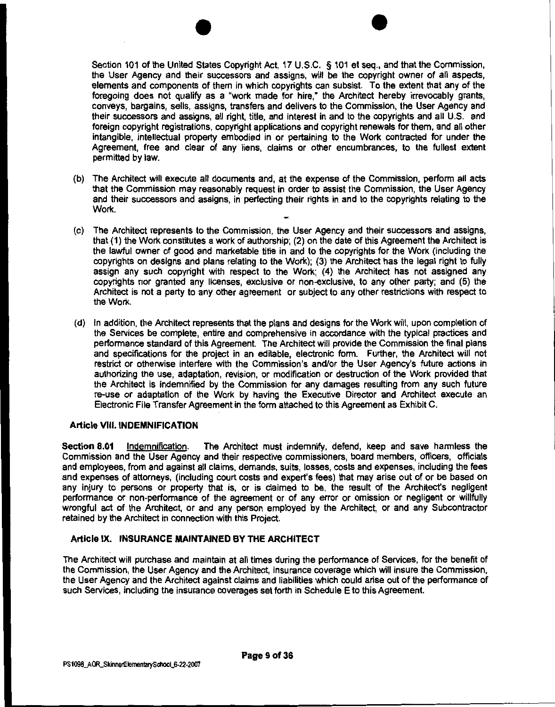$\bullet$ Section 101 of the United States Copyright Act, 17 U.S.C. § 101 et seq., and that the Commission, the User Agency and their successors and assigns, will be the copyright owner of all aspects, elements and components of them in which copyrights can subsist. To the extent that any of the foregoing does not qualify as a 'work made for hire," the Architect hereby irrevocably grants, conveys, bargains, sells, assigns, transfers and delivers to the Commission, the User Agency and their successors and assigns, all right, title, and interest in and to the copyrights and all U.S. and foreign copyright registrations, copyright applications and copyright renewals for them, and all other intangible, intellectual property embodied in or pertaining to the Work contracted for under the Agreement, free and clear of any liens, claims or other encumbrances, to the fullest extent permitted by law.

- (b) The Architect will execute all documents and, at the expense of the Commission, perform all acts that the Commission may reasonably request in order to assist the Commission, the User Agency and their successors and assigns, in perfecting their rights in and to the copyrights relating to the Work.
- (c) The Architect represents to the Commission, the User Agency and their successors and assigns, that (1) the Work constitutes a work of authorship; (2) on the date of this Agreement the Architect is the lawful owner of good and marketable title in and to the copyrights for the Work (including the copyrights on designs and plans relating to the Work); (3) the Architect has the legal right to fully assign any such copyright with respect to the Work; (4) the Architect has not assigned any copyrights nor granted any licenses, exclusive or non-exclusive, to any other party; and (5) the Architect is not a party to any other agreement or subject to any other restrictions with respect to the Work.
- (d) In addition, the Architect represents that the plans and designs for the Work will, upon completion of the Services be complete, entire and comprehensive in accordance with the typical practices and performance standard of this Agreement. The Architect will provide the Commission the final plans and specifications for the project in an editable, electronic form. Further, the Architect will not restrict or otherwise interfere with the Commission's and/or the User Agency's future actions in authorizing the use, adaptation, revision, or modification or destruction of the Work provided that the Architect is indemnified by the Commission for any damages resulting from any such future re-use or adaptation of the Work by having the Executive Director and Architect execute an Electronic File Transfer Agreement in the form attached to this Agreement as Exhibit C.

#### Article VIII. INDEMNIFICATION

Section 8.01 Indemnification. The Architect must indemnify, defend, keep and save harmless the Commission and the User Agency and their respective commissioners, board members, officers, officials and employees, from and against all claims, demands, suits, losses, costs and expenses, including the fees and expenses of attorneys, (including court costs and expert's fees) that may arise out of or be based on any injury to persons or property that is, or is claimed to be, the result of the Architecfs negligent performance or non-performance of the agreement or of any error or omission or negligent or willfully wrongful act of the Architect, or and any person employed by the Architect, or and any Subcontractor retained by the Architect in connection with this Project.

#### Article IX. INSURANCE MAINTAINED BY THE ARCHITECT

The Architect will purchase and maintain at all times during the performance of Services, for the benefit of the Commission, the User Agency and the Architect, insurance coverage which will insure the Commission, the User Agency and the Architect against claims and liabilities which could arise out of the performance of such Services, including the insurance coverages set forth in Schedule E to this Agreement.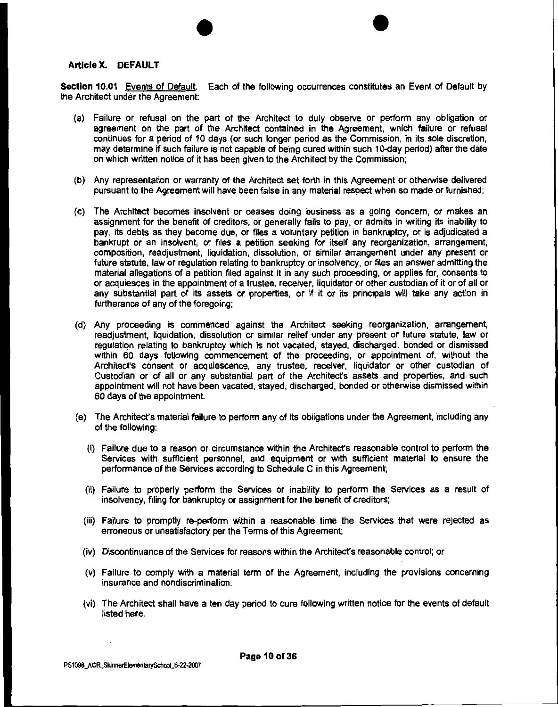#### Article X. DEFAULT

Section 10.01 Events of Default. Each of the following occurrences constitutes an Event of Default by the Architect under the Agreement:

 $\bullet$ 

- (a) Failure or refusal on the part of the Architect to duly observe or perform any obligation or agreement on the part of the Architect contained in the Agreement, which failure or refusal continues for a period of 10 days (or such longer period as the Commission, in its sole discretion, may determine if such failure is not capable of being cured within such 10-day period) after the date on which written notice of it has been given to the Architect by the Commission;
- (b) Any representation or warranty of the Architect set forth in this Agreement or otherwise delivered pursuant to the Agreement will have been false in any material respect when so made or furnished;
- (c) The Architect becomes insolvent or ceases doing business as a going concern, or makes an assignment for the benefit of creditors, or generally fails to pay, or admits in writing its inability to pay, its debts as they become due, or files a voluntary petition in bankruptcy, or is adjudicated a bankrupt or an insolvent, or files a petition seeking for itself any reorganization, arrangement, composition, readjustment, liquidation, dissolution, or similar arrangement under any present or future statute, law or regulation relating to bankruptcy or insolvency, or files an answer admitting the material allegations of a petition filed against it in any such proceeding, or applies for, consents to or acquiesces in the appointment of a trustee, receiver, liquidator or other custodian of it or of all or any substantial part of its assets or properties, or if it or its principals will take any action in furtherance of any of the foregoing;
- (d) Any proceeding is commenced against the Architect seeking reorganization, arrangement, readjustment, liquidation, dissolution or similar relief under any present or future statute, law or regulation relating to bankruptcy which is not vacated, stayed, discharged, bonded or dismissed within 60 days following commencement of the proceeding, or appointment of, without the Architect's consent or acquiescence, any trustee, receiver, liquidator or other custodian of Custodian or of all or any substantial part of the Architect's assets and properties, and such appointment will not have been vacated, stayed, discharged, bonded or otherwise dismissed within 60 days of the appointment.
- (e) The Architect's material failure to perform any of its obligations under the Agreement, including any of the following:
	- (i) Failure due to a reason or circumstance within the Architecfs reasonable control to perform the Services with sufficient personnel, and equipment or with sufficient material to ensure the performance of the Services according to Schedule C in this Agreement;
	- (ii) Failure to properly perform the Services or inability to perform the Services as a result of insolvency, filing for bankruptcy or assignment for the benefit of creditors;
	- (iii) Failure to promptly re-perform within a reasonable time the Services that were rejected as erroneous or unsatisfactory per the Terms of this Agreement;
	- (iv) Discontinuance of the Services for reasons within the Architect's reasonable control; or
	- (v) Failure to comply with a material term of the Agreement, including the provisions concerning insurance and nondiscrimination.
	- (vi) The Architect shall have a ten day period to cure following written notice for the events of default listed here.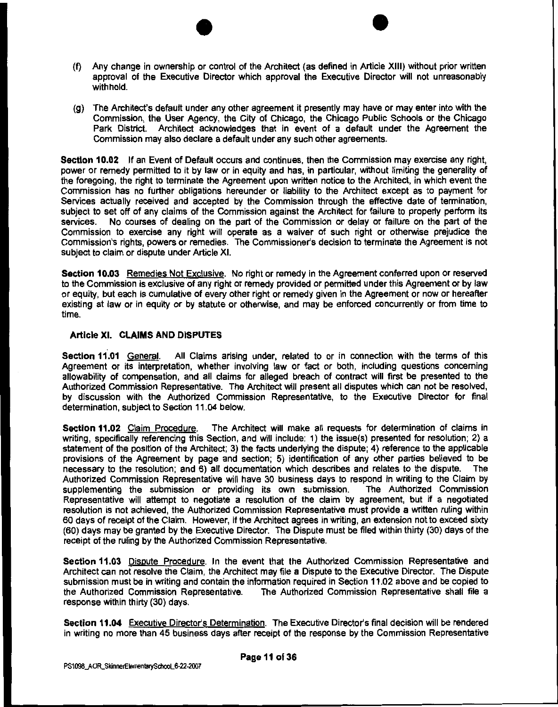- $\bullet$ (f) Any change in ownership or control of the Architect (as defined in Article XIII) without prior written approval of the Executive Director which approval the Executive Director will not unreasonably withhold.
- (g) The Architect's default under any other agreement ii presently may have or may enter into with the Commission, the User Agency, the City of Chicago, the Chicago Public Schools or the Chicago Park District. Architect acknowledges that in event of a default under the Agreement the Commission may also declare a default under any such other agreements.

**Section 10.02** If an Event of Default occurs and continues, then the Commission may exercise any right, power or remedy permitted to it by law or in equity and has, in particular, without limiting the generality of the foregoing, the right to terminate the Agreement upon written notice to the Architect, in which event the Commission has no further obligations hereunder or liability to the Architect except as to payment for Services actually received and accepted by the Commission through the effective date of termination. subject to set off of any claims of the Commission against the Architect for failure to properly perform its services. No courses of dealing on the part of the No courses of dealing on the part of the Commission or delay or failure on the part of the Commission to exercise any right will operate as a waiver of such right or otherwise prejudice the Commission's rights, powers or remedies. The Commissioner's decision to terminate the Agreement is not subject to claim or dispute under Article XI.

**Section 10.03** Remedies Not Exclusive. No right or remedy in the Agreement conferred upon or reserved to the Commission is exclusive of any right or remedy provided or permitted under this Agreement or by law or equity, but each is cumulative of every other right or remedy given in the Agreement or now or hereafter existing at law or in equity or by statute or otherwise, and may be enforced concurrently or from time to time.

#### **Article XI. CLAIMS AND DISPUTES**

**Section 11.01** General. All Claims arising under, related to or in connection with the terms of this Agreement or its interpretation, whether involving law or fact or both, including questions concerning allowability of compensation, and all claims for alleged breach of contract will first be presented to the Authorized Commission Representative. The Architect will present all disputes which can not be resolved. by discussion with the Authorized Commission Representative, to the Executive Director for final determination, subject to Section 11.04 below.

**Section 11.02** Claim Procedure. The Architect will make all requests for determination of claims in writing, specifically referencing this Section, and will include: 1) the issue(s) presented for resolution; 2) a statement of the position of the Architect; 3) the facts underlying the dispute; 4) reference to the applicable provisions of the Agreement by page and section; 5) identification of any other parties believed to be<br>necessary to the resolution: and 6) all documentation which describes and relates to the dispute. The necessary to the resolution; and 6) all documentation which describes and relates to the dispute. Authorized Commission Representative will have 30 business days to respond in writing to the Claim by supplementing the submission or providing its own submission. The Authorized Commission Representative will attempt to negotiate a resolution of the claim by agreement, but if a negotiated resolution is not achieved, the Authorized Commission Representative must provide a written ruling within 60 days of receipt of the Claim. However, if the Architect agrees in writing, an extension not to exceed sixty (60) days may be granted by the Executive Director. The Dispute must be filed within thirty (30) days of the receipt of the ruling by the Authorized Commission Representative.

**Section 11.03** Dispute Procedure. In the event that the Authorized Commission Representative and Architect can not resolve the Claim, the Architect may file a Dispute to the Executive Director. The Dispute submission must be in writing and contain the information required in Section 11.02 above and be copied to the Authorized Commission Representative. The Authorized Commission Representative shall file a response within thirty (30) days.

**Section 11.04** Executive Director's Determination. The Executive Director's final decision will be rendered in writing no more than 45 business days after receipt of the response by the Commission Representative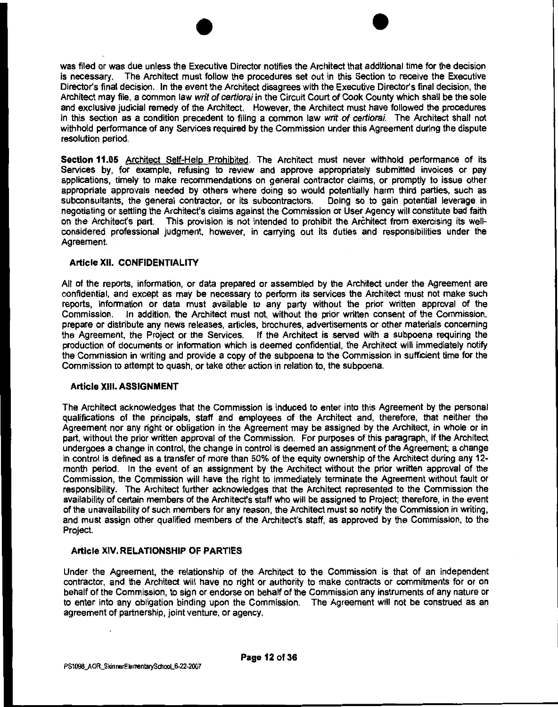$\bullet$ was filed or was due unless the Executive Director notifies the Architect that additional time for the decision is necessary. The Architect must follow the procedures set out in this Section to receive the Executive Director's final decision. In the event the Architect disagrees with the Executive Director's final decision, the Architect may file, a common law writ of certioral in the Circuit Court of Cook County which shall be the sole and exclusive judicial remedy of the Architect. However, the Architect must have followed the procedures in this section as a condition precedent to filing a common law writ of certiorai. The Architect shall not withhold performance of any Services required by the Commission under this Agreement during the dispute resolution period.

Section 11.05 Architect Self-Help Prohibited. The Architect must never withhold performance of its Services by, for example, refusing to review and approve appropriately submitted invoices or pay applications, timely to make recommendations on general contractor claims, or promptly to issue other appropriate approvals needed by others where doing so would potentially harm third parties, such as subconsultants, the general contractor, or its subcontractors. Doing so to gain potential leverage in negotiating or settling the Architecfs claims against the Commission or User Agency will constitute bad faith on the Architecfs part. This provision is not intended to prohibit the Architect from exercising its wellconsidered professional judgment, however, in carrying out its duties and responsibilities under the Agreement.

#### Article XII. CONFIDENTIALITY

All of the reports, information, or data prepared or assembled by the Architect under the Agreement are confidential, and except as may be necessary to perform its services the Architect must not make such reports, information or data must available to any party without the prior written approval of the Commission. In addition, the Architect must not, without the prior written consent of the Commission, prepare or distribute any news releases, articles, brochures, advertisements or other materials concerning the Agreement, the Project or the Services. If the Architect is served with a subpoena requiring the production of documents or information which is deemed confidential, the Architect will immediately notify the Commission in writing and provide a copy of the subpoena to the Commission in sufficient time for the Commission to attempt to quash, or take other action in relation to, the subpoena.

#### Article XIII. ASSIGNMENT

The Architect acknowledges that the Commission is induced to enter into this Agreement by the personal qualifications of the principals, staff and employees of the Architect and, therefore, that neither the Agreement nor any right or obligation in the Agreement may be assigned by the Architect, in whole or in part, without the prior written approval of the Commission. For purposes of this paragraph, if the Architect undergoes a change in control, the change in control is deemed an assignment of the Agreement; a change in control is defined as a transfer of more than 50% of the equity ownership of the Architect during any 12 month period. In the event of an assignment by the Architect without the prior written approval of the Commission, the Commission will have the right to immediately terminate the Agreement without fault or responsibility. The Architect further acknowledges that the Architect represented to the Commission the availability of certain members of the Architect's staff who will be assigned to Project; therefore, in the event of the unavailability of such members for any reason, the Architect must so notify the Commission in writing, and must assign other qualified members of the Architect's staff, as approved by the Commission, to the Project.

#### Article XIV.RELATIONSHIP OF PARTIES

Under the Agreement, the relationship of the Architect to the Commission is that of an independent contractor, and the Architect will have no right or authority to make contracts or commitments for or on behalf of the Commission, to sign or endorse on behalf of the Commission any instruments of any nature or to enter into any obligation binding upon the Commission. The Agreement will not be construed as an agreement of partnership, joint venture, or agency.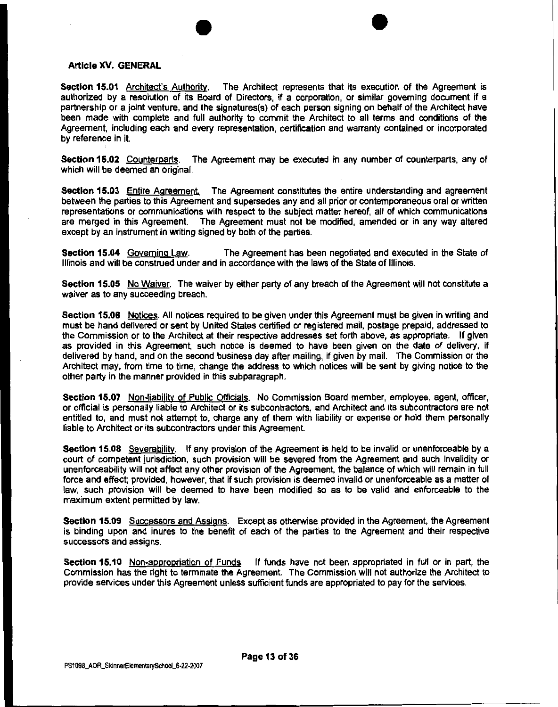#### Article XV. GENERAL

Section 15.01 Architect's Authority. The Architect represents that its execution of the Agreement is authorized by a resolution of its Board of Directors, if a corporation, or similar governing document if a partnership or a joint venture, and the signatures(s) of each person signing on behalf of the Architect have been made with complete and full authority to commit the Architect to all terms and conditions of the Agreement, including each and every representation, certification and warranty contained or incorporated by reference in it.

 $\bullet$ 

Section 15.02 Counterparts. The Agreement may be executed in any number of counterparts, any of which will be deemed an original.

Section 15.03 Entire Agreement. The Agreement constitutes the entire understanding and agreement between the parties to this Agreement and supersedes any and all prior or contemporaneous oral or written representations or communications with respect to the subject matter hereof, all of which communications are merged in this Agreement. The Agreement must not be modified, amended or in any way altered except by an instrument in writing signed by both of the parties.

Section 15.04 Governing Law. The Agreement has been negotiated and executed in the State of Illinois and will be construed under and in accordance with the laws of the State of Illinois.

Section 15.05 No Waiver. The waiver by either party of any breach of the Agreement will not constitute a waiver as to any succeeding breach.

Section 15.06 Notices. All notices required to be given under this Agreement must be given in writing and must be hand delivered or sent by United States certified or registered mail, postage prepaid, addressed to the Commission or to the Architect at their respective addresses set forth above, as appropriate. If given as provided in this Agreement, such notice is deemed to have been given on the date of delivery, if delivered by hand, and on the second business day after mailing, if given by mail. The Commission or the Architect may, from time to time, change the address to which notices will be sent by giving notice to the other party in the manner provided in this subparagraph.

Section 15.07 Non-liability of Public Officials. No Commission Board member, employee, agent, officer, or official is personally liable to Architect or its subcontractors, and Architect and its subcontractors are not entitled to, and must not attempt to, charge any of them with liability or expense or hold them personally liable to Architect or its subcontractors under this Agreement.

Section 15.08 Severability. If any provision of the Agreement is held to be invalid or unenforceable by a court of competent jurisdiction, such provision will be severed from the Agreement and such invalidity or unenforceability will not affect any other provision of the Agreement, the balance of which will remain in full force and effect; provided, however, that if such provision is deemed invalid or unenforceable as a matter of law, such provision will be deemed to have been modified so as to be valid and enforceable to the maximum extent permitted by law.

Section 15.09 Successors and Assigns. Except as otherwise provided in the Agreement, the Agreement is binding upon and inures to the benefit of each of the parties to the Agreement and their respective successors and assigns.

Section 15.10 Non-appropriation of Funds. If funds have not been appropriated in full or in part, the Commission has the right to terminate the Agreement. The Commission will not authorize the Architect to provide services under this Agreement unless sufficient funds are appropriated to pay for the services.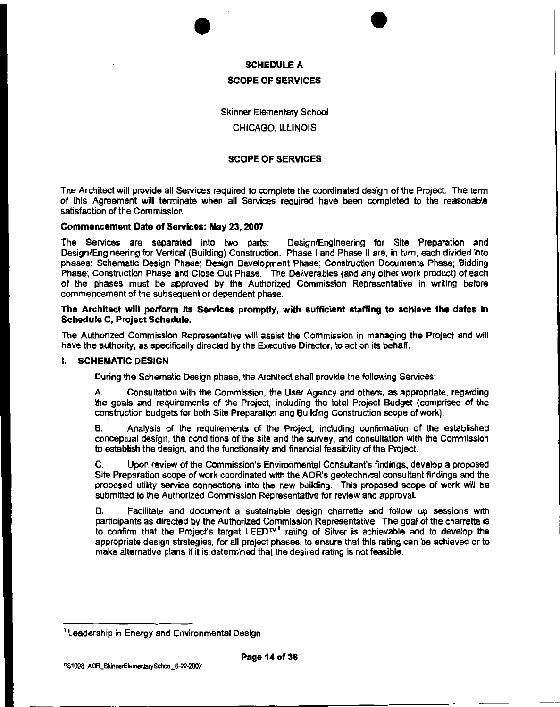



# SCHEDULE A SCOPE OF SERVICES

Skinner Elementary School

#### CHICAGO, ILLINOIS

#### SCOPE OF SERVICES

The Architect will provide all Services required to complete the coordinated design of the Project The term of this Agreement will terminate when all Services required have been completed to the reasonable satisfaction of the Commission.

#### Commencement Date of Services: May 23, 2007

The Services are separated into two parts: Design/Engineering for Site Preparation and Design/Engineering for Vertical (Building) Construction. Phase I and Phase II are, in tum, each divided into phases: Schematic Design Phase; Design Development Phase; Construction Documents Phase; Bidding Phase; Construction Phase and Close Out Phase. The Deliverables (and any other work product) of each of the phases must be approved by the Authorized Commission Representative in writing before commencement of the subsequent or dependent phase.

#### The Architect will perform its Services promptly, with sufficient staffing to achieve the dates in Schedule C, Project Schedule.

The Authorized Commission Representative will assist the Commission in managing the Project and will have the authority, as specifically directed by the Executive Director, to act on its behalf.

#### I. SCHEMATIC DESIGN

During the Schematic Design phase, the Architect shall provide the following Services:

A. Consultation with the Commission, the User Agency and others, as appropriate, regarding the goals and requirements of the Project, including the total Project Budget (comprised of the construction budgets for both Site Preparation and Building Construction scope of work).

B. Analysis of the requirements of the Project, including confirmation of the established conceptual design, the conditions of the site and the survey, and consultation with the Commission to establish the design, and the functionality and financial feasibility of the Project.

C. Upon review of the Commission's Environmental Consultant's findings, develop a proposed Site Preparation scope of work coordinated with the AOR's geotechnical consultant findings and the proposed utility service connections into the new building. This proposed scope of work will be submitted to the Authorized Commission Representative for review and approval.

D. Facilitate and document a sustainable design charrette and follow up sessions with participants as directed by the Authorized Commission Representative. The goal of the charrette is to confirm that the Projecfs target LEED™' rating of Silver is achievable and to develop the appropriate design strategies, for all project phases, to ensure that this rating can be achieved or to make alternative plans if it is determined that the desired rating is not feasible.

<sup>&</sup>lt;sup>1</sup> Leadership in Energy and Environmental Design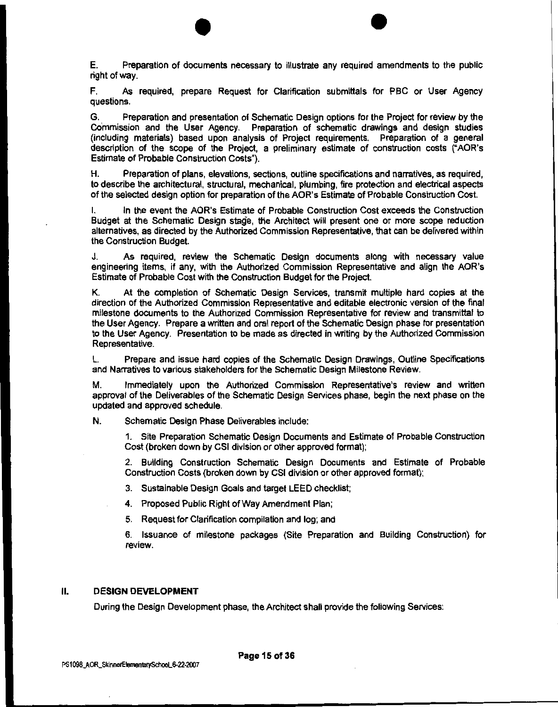$\bullet$ E. Preparation of documents necessary to illustrate any required amendments to the public right of way.

F. As required, prepare Request for Clarification submittals for PBC or User Agency questions.

G. Preparation and presentation of Schematic Design options for the Project for review by the Commission and the User Agency. Preparation of schematic drawings and design studies (including materials) based upon analysis of Project requirements. Preparation of a general description of the scope of the Project, a preliminary estimate of construction costs ("AOR's Estimate of Probable Construction Costs").

H. Preparation of plans, elevations, sections, outline specifications and narratives, as required, to describe the architectural, structural, mechanical, plumbing, fire protection and electrical aspects of the selected design option for preparation of the AOR's Estimate of Probable Construction Cost.

In the event the AOR's Estimate of Probable Construction Cost exceeds the Construction Budget at the Schematic Design stage, the Architect will present one or more scope reduction alternatives, as directed by the Authorized Commission Representative, that can be delivered within the Construction Budget.

J. As required, review the Schematic Design documents along with necessary value engineering items, if any, with the Authorized Commission Representative and align the AOR's Estimate of Probable Cost with the Construction Budget for the Project.

K. At the completion of Schematic Design Services, transmit multiple hard copies at the direction of the Authorized Commission Representative and editable electronic version of the final milestone documents to the Authorized Commission Representative for review and transmittal to the User Agency. Prepare a written and oral report of the Schematic Design phase for presentation to the User Agency. Presentation to be made as directed in writing by the Authorized Commission Representative.

L. Prepare and issue hard copies of the Schematic Design Drawings, Outline Specifications and Narratives to various stakeholders for the Schematic Design Milestone Review.

M. Immediately upon the Authorized Commission Representative's review and written approval of the Deliverables of the Schematic Design Services phase, begin the next phase on the updated and approved schedule.

N. Schematic Design Phase Deliverables include:

1. Site Preparation Schematic Design Documents and Estimate of Probable Construction Cost (broken down by CSI division or other approved format);

2. Building Construction Schematic Design Documents and Estimate of Probable Construction Costs (broken down by CSI division or other approved format);

3. Sustainable Design Goals and target LEED checklist;

4. Proposed Public Right of Way Amendment Plan;

5. Request for Clarification compilation and log; and

6. Issuance of milestone packages (Site Preparation and Building Construction) for review.

#### II. **DESIGN DEVELOPMENT**

During the Design Development phase, the Architect shall provide the following Services: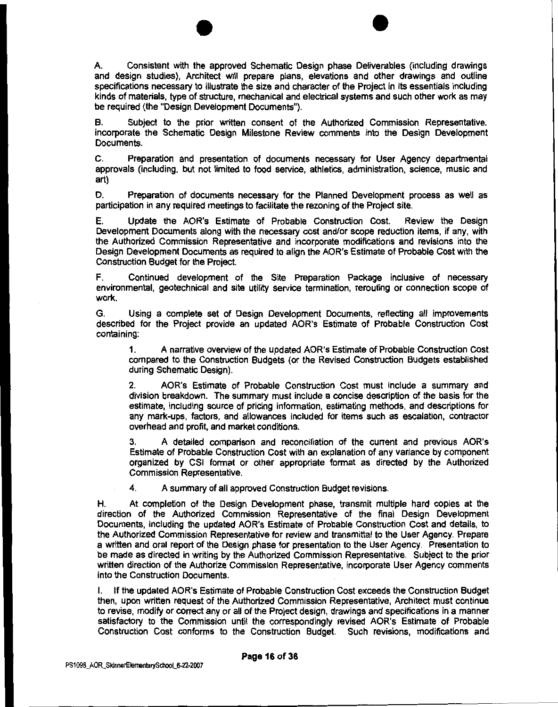$\bullet$   $\bullet$   $\bullet$ A. Consistent with the approved Schematic Design phase Deliverables (including drawings and design studies), Architect will prepare plans, elevations and other drawings and outline specifications necessary to illustrate the size and character of the Project in its essentials including kinds of materials, type of structure, mechanical and electrical systems and such other work as may be required (the "Design Development Documents").

B. Subject to the prior written consent of the Authorized Commission Representative, incorporate the Schematic Design Milestone Review comments into the Design Development Documents.

C. Preparation and presentation of documents necessary for User Agency departmental approvals (including, but not limited to food service, athletics, administration, science, music and art)

D. Preparation of documents necessary for the Planned Development process as well as participation in any required meetings to facilitate the rezoning of the Project site.

E. Update the AOR's Estimate of Probable Construction Cost. Review the Design Development Documents along with the necessary cost and/or scope reduction items, if any, with the Authorized Commission Representative and incorporate modifications and revisions into the Design Development Documents as required to align the AOR's Estimate of Probable Cost with the Construction Budget for the Project.

F. Continued development of the Site Preparation Package inclusive of necessary environmental, geotechnical and site utility service termination, rerouting or connection scope of work.

G. Using a complete set of Design Development Documents, reflecting all improvements described for the Project provide an updated AOR's Estimate of Probable Construction Cost containing:

1. A narrative overview of the updated AOR's Estimate of Probable Construction Cost compared to the Construction Budgets (or the Revised Construction Budgets established during Schematic Design).

2. AOR's Estimate of Probable Construction Cost must include a summary and division breakdown. The summary must include a concise description of the basis for the estimate, including source of pricing information, estimating methods, and descriptions for any mark-ups, factors, and allowances included for items such as escalation, contractor overhead and profit, and market conditions.

3. A detailed comparison and reconciliation of the current and previous AOR's Estimate of Probable Construction Cost with an explanation of any variance by component organized by CSI format or other appropriate format as directed by the Authorized Commission Representative.

4. A summary of all approved Construction Budget revisions.

H. At completion of the Design Development phase, transmit multiple hard copies at the direction of the Authorized Commission Representative of the final Design Development Documents, including the updated AOR's Estimate of Probable Construction Cost and details, to the Authorized Commission Representative for review and transmittal to the User Agency. Prepare a written and oral report of the Design phase for presentation to the User Agency. Presentation to be made as directed in writing by the Authorized Commission Representative. Subject to the prior written direction of the Authorize Commission Representative, incorporate User Agency comments into the Construction Documents.

I. If the updated AOR's Estimate of Probable Construction Cost exceeds the Construction Budget then, upon written request of the Authorized Commission Representative, Architect must continue to revise, modify or correct any or all of the Project design, drawings and specifications in a manner satisfactory to the Commission until the correspondingly revised AOR's Estimate of Probable Construction Cost conforms to the Construction Budget. Such revisions, modifications and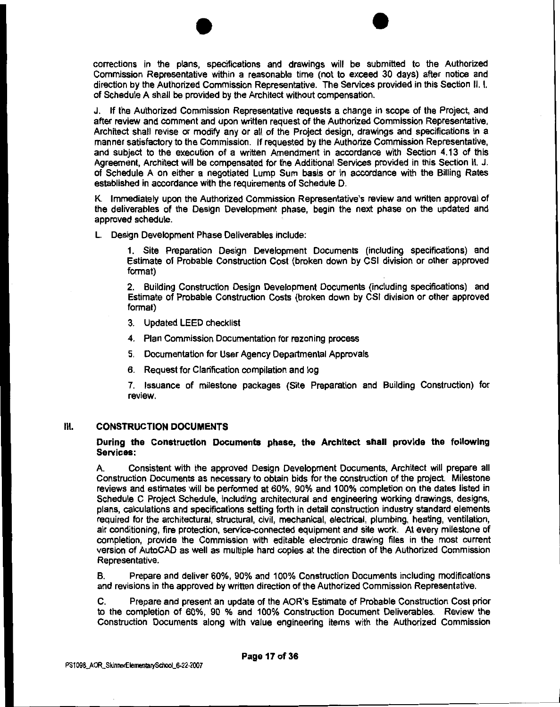$\bullet$ corrections in the plans, specifications and drawings will be submitted to the Authorized Commission Representative within a reasonable time (not to exceed 30 days) after notice and direction by the Authorized Commission Representative. The Services provided in this Section II. I. of Schedule A shall be provided by the Architect without compensation.

J. If the Authorized Commission Representative requests a change in scope of the Project, and after review and comment and upon written request of the Authorized Commission Representative, Architect shall revise or modify any or all of the Project design, drawings and specifications in a manner satisfactory to the Commission. If requested by the Authorize Commission Representative, and subject to the execution of a written Amendment in accordance with Section 4. 13 of this Agreement, Architect will be compensated for the Additional Services provided in this Section II. J. of Schedule A on either a negotiated Lump Sum basis or in accordance with the Billing Rates established in accordance with the requirements of Schedule D.

K. Immediately upon the Authorized Commission Representative's review and written approval of the deliverables of the Design Development phase, begin the next phase on the updated and approved schedule.

L. Design Development Phase Deliverables include:

1. Site Preparation Design Development Documents (including specifications) and Estimate of Probable Construction Cost (broken down by CSI division or other approved format)

2. Building Construction Design Development Documents (including specifications) and Estimate of Probable Construction Costs (broken down by CSI division or other approved format)

3. Updated LEED checklist

4. Plan Commission Documentation for rezoning process

5. Documentation for User Agency Departmental Approvals

6. Request for Clarification compilation and log

7. Issuance of milestone packages (Site Preparation and Building Construction) for review.

#### Ill. CONSTRUCTION DOCUMENTS

During the Construction Documents phase, the Architect shall provide the following Services:

A. Consistent with the approved Design Development Documents, Architect will prepare all Construction Documents as necessary to obtain bids for the construction of the project. Milestone reviews and estimates will be performed at 60%, 90% and 100% completion on the dates listed in Schedule C Project Schedule, including archltectural and engineering working drawings, designs, plans, calculations and specifications setting forth in detail construction industry standard elements required for the architectural, structural, civil, mechanical, electrical, plumbing, heating, ventilation, air conditioning, fire protection, service-connected equipment and site work. At every milestone of completion, provide the Commission with editable electronic drawing files in the most current version of AutoCAD as well as multiple hard copies at the direction of the Authorized Commission Representative.

B. Prepare and deliver 60%, 90% and 100% Construction Documents including modifications and revisions in the approved by written direction of the Authorized Commission Representative.

C. Prepare and present an update of the AOR's Estimate of Probable Construction Cost prior to the completion of 60%, 90 % and 100% Construction Document Deliverables. Review the Construction Documents along with value engineering items with the Authorized Commission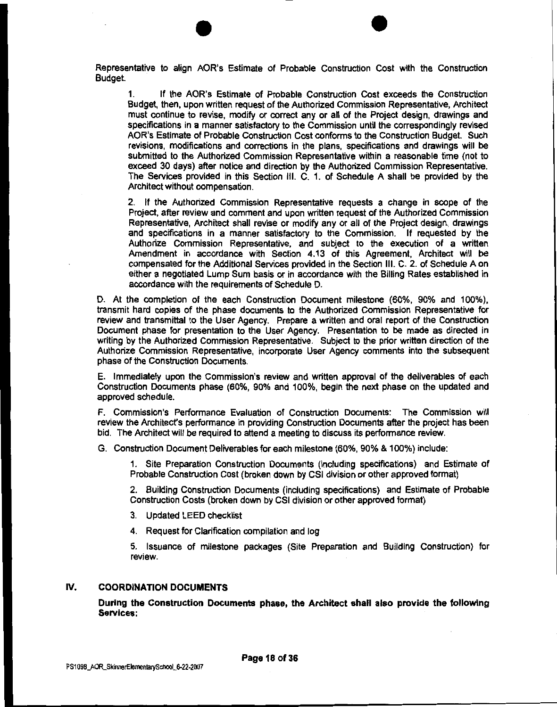Representative to align AOR's Estimate of Probable Construction Cost with the Construction Budget.

 $\bullet$ 

If the AOR's Estimate of Probable Construction Cost exceeds the Construction Budget, then, upon written request of the Authorized Commission Representative, Architect must continue to revise, modify or correct any or all of the Project design, drawings and specifications in a manner satisfactory to the Commission until the correspondingly revised AOR's Estimate of Probable Construction Cost conforms to the Construction Budget. Such revisions, modifications and corrections in the plans, specifications and drawings will be submitted to the Authorized Commission Representative within a reasonable time (not to exceed 30 days) after notice and direction by the Authorized Commission Representative. The Services provided in this Section Ill. C. 1. of Schedule A shall be provided by the Architect without compensation.

2. If the Authorized Commission Representative requests a change in scope of the Project, after review and comment and upon written request of the Authorized Commission Representative, Architect shall revise or modify any or all of the Project design, drawings and specifications in a manner satisfactory to the Commission. If requested by the Authorize Commission Representative, and subject to the execution of a written Amendment in accordance with Section 4.13 of this Agreement, Architect will be compensated for the Additional Services provided in the Section Ill. C. 2. of Schedule A on either a negotiated Lump Sum basis or in accordance with the Billing Rates established in accordance with the requirements of Schedule D.

D. At the completion of the each Construction Document milestone (60%, 90% and 100%), transmit hard copies of the phase documents to the Authorized Commission Representative for review and transmittal to the User Agency. Prepare a written and oral report of the Construction Document phase for presentation to the User Agency. Presentation to be made as directed in writing by the Authorized Commission Representative. Subject to the prior written direction of the Authorize Commission Representative, incorporate User Agency comments into the subsequent phase of the Construction Documents.

E. Immediately upon the Commission's review and written approval of the deliverables of each Construction Documents phase (60%, 90% and 100%, begin the next phase on the updated and approved schedule.

F. Commission's Performance Evaluation of Construction Documents: The Commission will review the Architect's performance in providing Construction Documents after the project has been bid. The Architect will be required to attend a meeting to discuss its performance review.

G. Construction Document Deliverables for each milestone (60%, 90% & 100%) include:

1. Site Preparation Construction Documents (including specifications) and Estimate of Probable Construction Cost (broken down by CSI division or other approved format)

2. Building Construction Documents (including specifications) and Estimate of Probable Construction Costs (broken down by CSI division or other approved format)

- 3. Updated LEED checklist
- 4. Request for Clarification compilation and log

5. Issuance of milestone packages (Site Preparation and Building Construction) for review.

#### IV. COORDINATION DOCUMENTS

During the Construction Documents phase, the Architect shall also provide the following Services: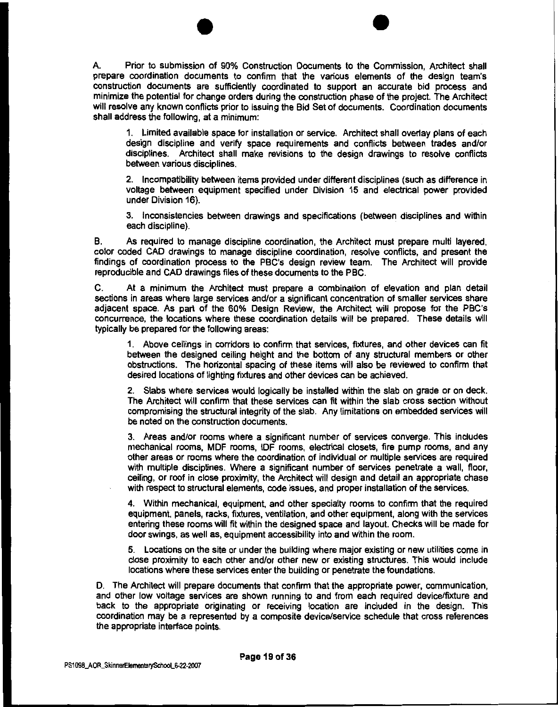$\bullet$ A. Prior to submission of 90% Construction Documents to the Commission, Architect shall prepare coordination documents to confirm that the various elements of the design team's construction documents are sufficiently coordinated to support an accurate bid process and minimize the potential for change orders during the construction phase of the project. The Architect will resolve any known conflicts prior to issuing the Bid Set of documents. Coordination documents shall address the following, at a minimum:

1. Limited available space for installation or service. Architect shall overlay plans of each design discipline and verify space requirements and conflicts between trades and/or disciplines. Architect shall make revisions to the design drawings to resolve conflicts between various disciplines.

2. Incompatibility between items provided under different disciplines (such as difference in voltage between equipment specified under Division 15 and electrical power provided under Division 16).

3. Inconsistencies between drawings and specifications (between disciplines and within each discipline).

B. As required to manage discipline coordination, the Architect must prepare multi layered, color coded CAD drawings to manage discipline coordination, resolve conflicts, and present the findings of coordination process to the PBC's design review team. The Architect will provide reproducible and CAD drawings files of these documents to the PBC.

C. At a minimum the Architect must prepare a combination of elevation and plan detail sections in areas where large services and/or a significant concentration of smaller services share adjacent space. As part of the 60% Design Review, the Architect will propose for the PBC's concurrence, the locations where these coordination details will be prepared. These details will typically be prepared for the following areas:

1. Above ceilings in corridors to confirm that services, fixtures, and other devices can fit between the designed ceiling height and the bottom of any structural members or other obstructions. The horizontal spacing of these items will also be reviewed to confirm that desired locations of lighting fixtures and other devices can be achieved.

2. Slabs where services would logically be installed within the slab on grade or on deck. The Architect will confirm that these services can fit within the slab cross section without compromising the structural integrity of the slab. Any limitations on embedded services will be noted on the construction documents.

3. Areas and/or rooms where a significant number of services converge. This includes mechanical rooms, MDF rooms, IDF rooms, electrical closets, fire pump rooms, and any other areas or rooms where the coordination of individual or multiple services are required with multiple disciplines. Where a significant number of services penetrate a wall, floor, ceiling, or roof in close proximity, the Architect will design and detail an appropriate chase with respect to structural elements, code issues, and proper installation of the services.

4. Within mechanical, equipment, and other specialty rooms to confirm that the required equipment, panels, racks, fixtures, ventilation, and other equipment, along with the services entering these rooms will fit within the designed space and layout. Checks will be made for door swings, as well as, equipment accessibility into and within the room.

5. Locations on the site or under the building where major existing or new utilities come in close proximity to each other and/or other new or existing structures. This would include locations where these services enter the building or penetrate the foundations.

D. The Architect will prepare documents that confirm that the appropriate power, communication, and other low voltage services are shown running to and from each required device/fixture and back to the appropriate originating or receiving location are included in the design. This coordination may be a represented by a composite device/service schedule that cross references the appropriate interface points.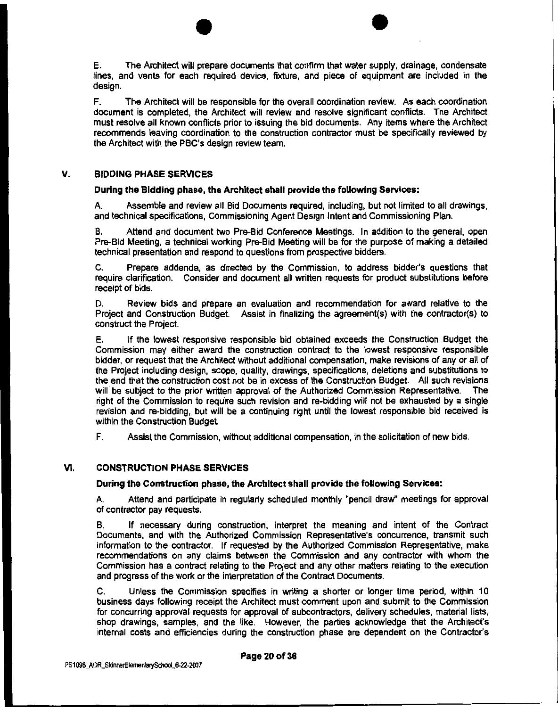$\bullet$   $\bullet$ **E.** The Architect will prepare documents that confirm that water supply, drainage, condensate lines, and vents for each required device, fixture, and piece of equipment are included in the design.

F. The Architect will be responsible for the overall coordination review. As each coordination document is completed, the Architect will review and resolve significant conflicts. The Architect must resolve all known conflicts prior to issuing the bid documents. Any items where the Architect recommends leaving coordination to the construction contractor must be specifically reviewed by the Architect with the PBC's design review team.

#### **V. BIDDING PHASE SERVICES**

#### **During the Bidding phase, the Architect shall provide the following Services:**

A. Assemble and review all Bid Documents required, including, but not limited to all drawings, and technical specifications, Commissioning Agent Design Intent and Commissioning Plan.

B. Attend and document two Pre-Bid Conference Meetings. In addition to the general, open Pre-Bid Meeting, a technical working Pre-Bid Meeting will be for the purpose of making a detailed technical presentation and respond to questions from prospective bidders.

C. Prepare addenda, as directed by the Commission, to address bidder's questions that require clarification. Consider and document all written requests for product substitutions before receipt of bids.

D. Review bids and prepare an evaluation and recommendation for award relative to the Project and Construction Budget Assist in finalizing the agreement(s) with the contractor(s) to construct the Project

E. If the lowest responsive responsible bid obtained exceeds the Construction Budget the Commission may either award the construction contract to the lowest responsive responsible bidder, or request that the Architect without additional compensation, make revisions of any or all of the Project including design, scope, quality, drawings, specifications, deletions and substitutions to the end that the construction cost not be in excess of the Construction Budget. All such revisions will be subject to the prior written approval of the Authorized Commission Representative. The will be subject to the prior written approval of the Authorized Commission Representative. right of the Commission to require such revision and re-bidding will not be exhausted by a single revision and re-bidding, but will be a continuing right until the lowest responsible bid received is within the Construction Budget.

F. Assist the Commission, without additional compensation, in the solicitation of new bids.

#### **VI. CONSTRUCTION PHASE SERVICES**

#### **During the Construction phase, the Architect shall provide the following Services:**

A. Attend and participate in regularly scheduled monthly "pencil draw" meetings for approval of contractor pay requests.

B. If necessary during construction, interpret the meaning and intent of the Contract Documents, and with the Authorized Commission Representative's concurrence, transmit such information to the contractor. If requested by the Authorized Commission Representative, make recommendations on any claims between the Commission and any contractor with whom the Commission has a contract relating to the Project and any other matters relating to the execution and progress of the work or the interpretation of the Contract Documents.

C. Unless the Commission specifies in writing a shorter or longer time period, within 10 business days following receipt the Architect must comment upon and submit to the Commission for concurring approval requests for approval of subcontractors, delivery schedules, material lists, shop drawings, samples, and the like. However, the parties acknowledge that the Architecfs internal costs and efficiencies during the construction phase are dependent on the Contractor's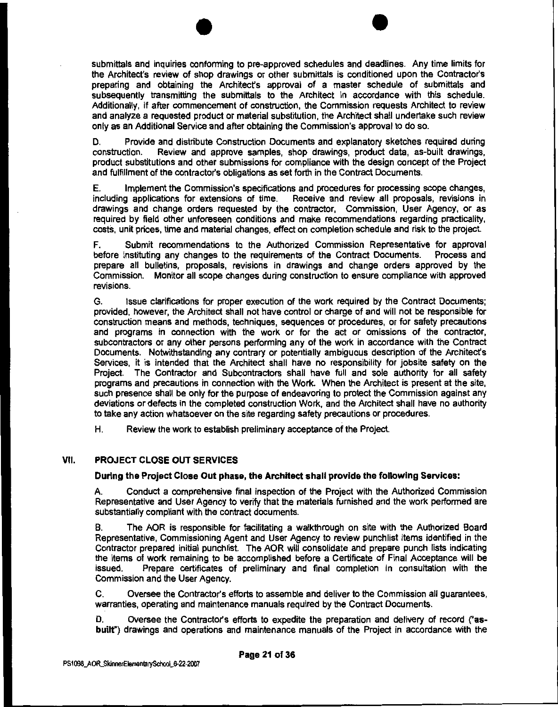$\bullet$ submittals and inquiries conforming to pre-approved schedules and deadlines. Any time limits for the Architect's review of shop drawings or other submittals is conditioned upon the Contractor's preparing and obtaining the Architecfs approval of a master schedule of submittals and subsequently transmitting the submittals to the Architect in accordance with this schedule. Additionally, if after commencement of construction, the Commission requests Architect to review and analyze a requested product or material substitution, the Architect shall undertake such review only as an Additional Service and after obtaining the Commission's approval to do so.

D. Provide and distribute Construction Documents and explanatory sketches required during construction. Review and approve samples, shop drawings, product data, as-built drawings, product substitutions and other submissions for compliance with the design concept of the Project and fulfillment of the contractor's obligations as set forth in the Contract Documents.

E. Implement the Commission's specifications and procedures for processing scope changes, including applications for extensions of time. Receive and review all proposals, revisions in drawings and change orders requested by the contractor, Commission, User Agency, or as required by field other unforeseen conditions and make recommendations regarding practicality, costs, unit prices, time and material changes, effect on completion schedule and risk to the project.

F. Submit recommendations to the Authorized Commission Representative for approval before instituting any changes to the requirements of the Contract Documents. Process and prepare all bulletins, proposals, revisions in drawings and change orders approved by the Commission. Monitor all scope changes during construction to ensure compliance with approved revisions.

G. Issue clarifications for proper execution of the work required by the Contract Documents; provided, however, the Architect shall not have control or charge of and will not be responsible for construction means and methods, techniques, sequences or procedures, or for safety precautions and programs in connection with the work or for the act or omissions of the contractor, subcontractors or any other persons performing any of the work in accordance with the Contract Documents. Notwithstanding any contrary or potentially ambiguous description of the Architect's Services, it is intended that the Architect shall have no responsibility for jobsite safety on the Project. The Contractor and Subcontractors shall have full and sole authority for all safety programs and precautions in connection with the Work. When the Architect is present at the site, such presence shall be only for the purpose of endeavoring to protect the Commission against any deviations or defects in the completed construction Work, and the Architect shall have no authority to take any action whatsoever on the site regarding safety precautions or procedures.

H. Review the work to establish preliminary acceptance of the Project.

#### VII. PROJECT CLOSE OUT SERVICES

#### During the Project Close Out phase, the Architect shall provide the following Services:

A. Conduct a comprehensive final inspection of the Project with the Authorized Commission Representative and User Agency to verify that the materials furnished and the work performed are substantially compliant with the contract documents.

B. The AOR is responsible for facilitating a walkthrough on site with the Authorized Board Representative, Commissioning Agent and User Agency to review punchlist items identified in the Contractor prepared initial punchlist. The AOR will consolidate and prepare punch lists indicating the items of work remaining to be accomplished before a Certificate of Final Acceptance will be issued. Prepare certificates of preliminary and final completion in consultation with the Commission and the User Agency.

C. Oversee the Contractor's efforts to assemble and deliver to the Commission all guarantees, warranties, operating and maintenance manuals required by the Contract Documents.

D. Oversee the Contractor's efforts to expedite the preparation and delivery of record ("asbuilt") drawings and operations and maintenance manuals of the Project in accordance with the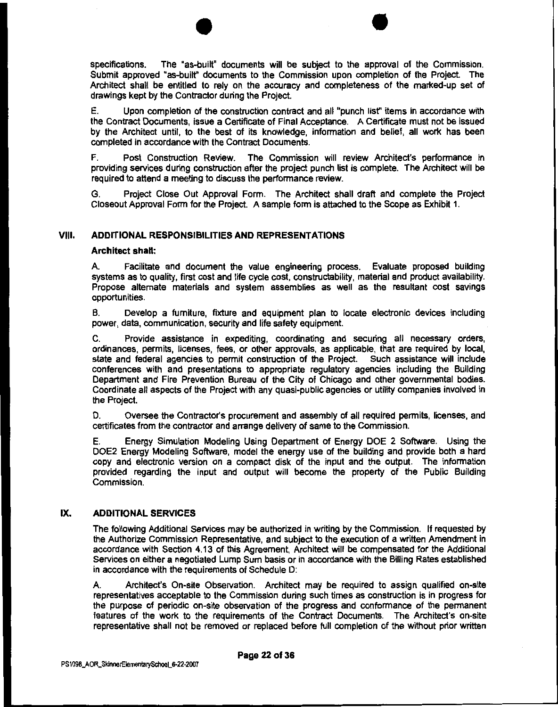$\bullet$   $\bullet$ specifications. The "as-built" documents will be subject to the approval of the Commission. Submit approved "as-builf' documents to the Commission upon completion of the Project. The Architect shall be entitled to rely on the accuracy and completeness of the marked-up set of drawings kept by the Contractor during the Project.

E. Upon completion of the construction contract and all "punch list" items in accordance with the Contract Documents, issue a Certificate of Final Acceptance. A Certificate must not be issued by the Architect until, to the best of its knowledge, information and belief, all work has been completed in accordance with the Contract Documents.

F. Post Construction Review. The Commission will review Architect's performance in providing services during construction after the project punch list is complete. The Architect will be required to attend a meeting to discuss the performance review.

G. Project Close Out Approval Form. The Architect shall draft and complete the Project Closeout Approval Form for the Project. A sample form is attached to the Scope as Exhibit 1.

#### VIII. **ADDITIONAL RESPONSIBILITIES AND REPRESENTATIONS**

#### **Architect shall:**

A. Facilitate and document the value engineering process. Evaluate proposed building systems as to quality, first cost and life cycle cost, constructability, material and product availability. Propose alternate materials and system assemblies as well as the resultant cost savings opportunities.

B. Develop a furniture, fixture and equipment plan to locate electronic devices including power, data, communication, security and life safety equipment.

C. Provide assistance in expediting, coordinating and securing all necessary orders, ordinances, permits, licenses, fees, or other approvals, as applicable, that are required by local, state and federal agencies to permit construction of the Project. Such assistance will include conferences with and presentations to appropriate regulatory agencies including the Building Department and Fire Prevention Bureau of the City of Chicago and other governmental bodies. Coordinate all aspects of the Project with any quasi-public agencies or utility companies involved in the Project.

D. Oversee the Contractor's procurement and assembly of all required permits, licenses, and certificates from the contractor and arrange delivery of same to the Commission.

E. Energy Simulation Modeling Using Department of Energy DOE 2 Software. Using the DOE2 Energy Modeling Software, model the energy use of the building and provide both a hard copy and electronic version on a compact disk of the input and the output. The information provided regarding the input and output will become the property of the Public Building Commission.

#### IX. **ADDITIONAL SERVICES**

The following Additional Services may be authorized in writing by the Commission. If requested by the Authorize Commission Representative, and subject to the execution of a written Amendment in accordance with Section 4.13 of this Agreement, Architect will be compensated for the Additional Services on either a negotiated Lump Sum basis or in accordance with the Billing Rates established in accordance with the requirements of Schedule D:

A. Architect's On-site Observation. Architect may be required to assign qualified on-site representatives acceptable to the Commission during such times as construction is in progress for the purpose of periodic on-site observation of the progress and conformance of the permanent features of the work to the requirements of the Contract Documents. The Architect's on-site representative shall not be removed or replaced before full completion of the without prior written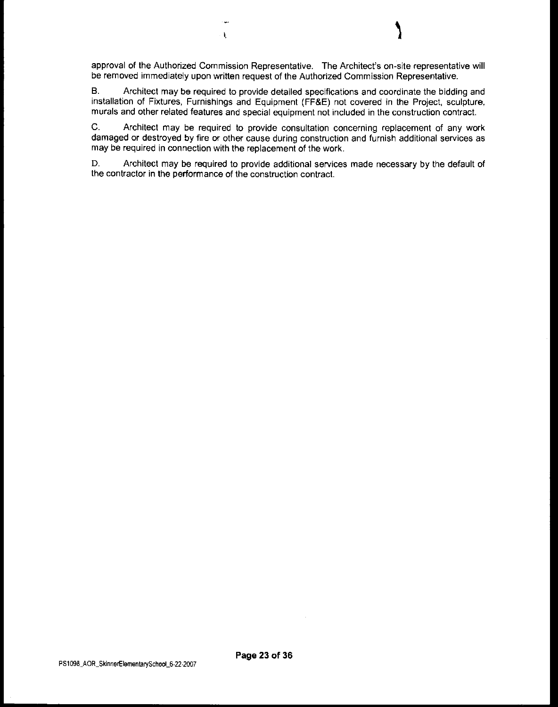$\mathbf{I}$ 

B. Architect may be required to provide detailed specifications and coordinate the bidding and installation of Fixtures, Furnishings and Equipment (FF&E) not covered in the Project, sculpture, murals and other related features and special equipment not included in the construction contract.

C. Architect may be required to provide consultation concerning replacement of any work damaged or destroyed by fire or other cause during construction and furnish additional services as may be required in connection with the replacement of the work.

D. Architect may be required to provide additional services made necessary by the default of the contractor in the performance of the construction contract.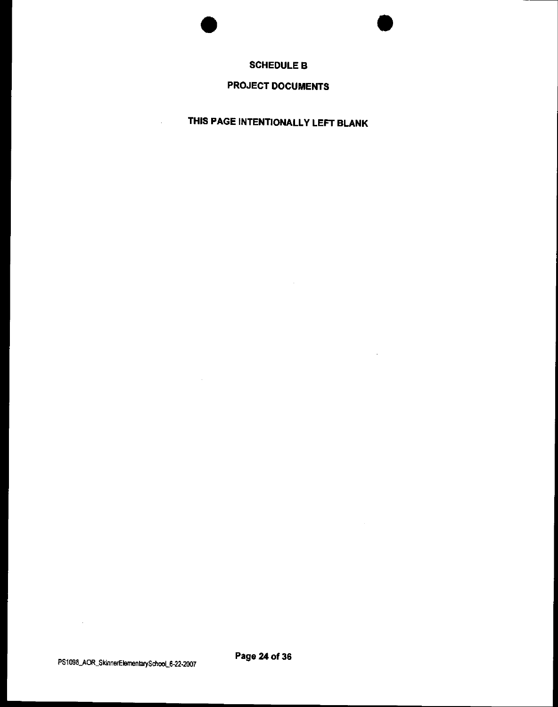



 $\ddot{\phantom{0}}$ 

#### **SCHEDULE B**

# **PROJECT DOCUMENTS**

**THIS PAGE INTENTIONALLY LEFT BLANK** 

PS1098\_AOR\_SkinnerElementarySchool\_6-22-2007 **Page 24 of 36** 

 $\sim 10^{-10}$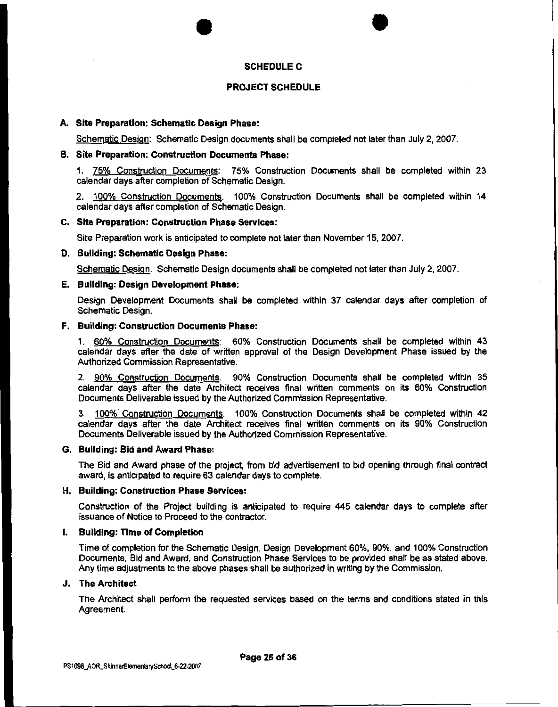#### SCHEDULE C

•

#### PROJECT SCHEDULE

#### A. Site Preparation: Schematic Design Phase:

Schematic Design: Schematic Design documents shall be completed not later than July 2, 2007.

#### B. Site Preparation: Construction Documents Phase:

•

1. 75% Construction Documents: 75% Construction Documents shall be completed within 23 calendar days after completion of Schematic Design.

2. 100% Construction Documents. 100% Construction Documents shall be completed within 14 calendar days after completion of Schematic Design.

#### C. Site Preparation: Construction Phase Services:

Site Preparation work is anticipated to complete not later than November 15, 2007.

#### D. Building: Schematic Design Phase:

Schematic Design: Schematic Design documents shall be completed not later than July 2, 2007.

#### E. Building: Design Development Phase:

Design Development Documents shall be completed within 37 calendar days after completion of Schematic Design.

#### F. Building: Construction Documents Phase:

1. 60% Construction Documents: 60% Construction Documents shall be completed within 43 calendar days after the date of written approval of the Design Development Phase issued by the Authorized Commission Representative.

2. 90% Construction Documents. 90% Construction Documents shall be completed within 35 calendar days after the date Architect receives final written comments on its 60% Construction Documents Deliverable issued by the Authorized Commission Representative.

3. 100% Construction Documents. 100% Construction Documents shall be completed within 42 calendar days after the date Architect receives final written comments on its 90% Construction Documents Deliverable issued by the Authorized Commission Representative.

#### G. Building: Bid and Award Phase:

The Bid and Award phase of the project, from bid advertisement to bid opening through final contract award, is anticipated to require 63 calendar days to complete.

#### H. Building: Construction Phase Services:

Construction of the Project building is anticipated to require 445 calendar days to complete after issuance of Notice to Proceed to the contractor.

#### I. Building: Time of Completion

Time of completion for the Schematic Design, Design Development 60%, 90%, and 100% Construction Documents, Bid and Award, and Construction Phase Services to be provided shall be as stated above. Any time adjustments to the above phases shall be authorized in writing by the Commission.

#### J. The Architect

The Architect shall perform the requested services based on the terms and conditions stated in this Agreement.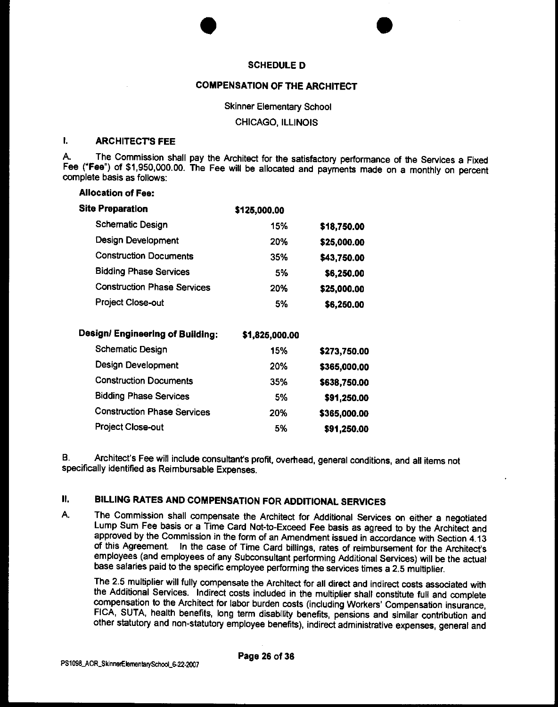#### **SCHEDULE D**

•

#### **COMPENSATION OF THE ARCHITECT**

Skinner Elementary School

CHICAGO, ILLINOIS

#### I. **ARCHITECT'S FEE**

A. The Commission shall pay the Architect for the satisfactory performance of the Services a Fixed Fee **("Fee")** of \$1,950,000.00. The Fee will be allocated and payments made on a monthly on percent complete basis as follows:

| <b>Allocation of Fee:</b>          |                |              |
|------------------------------------|----------------|--------------|
| <b>Site Preparation</b>            | \$125,000.00   |              |
| Schematic Design                   | 15%            | \$18,750.00  |
| Design Development                 | 20%            | \$25,000.00  |
| <b>Construction Documents</b>      | 35%            | \$43,750.00  |
| <b>Bidding Phase Services</b>      | 5%             | \$6,250.00   |
| <b>Construction Phase Services</b> | 20%            | \$25,000.00  |
| <b>Project Close-out</b>           | 5%             | \$6,250.00   |
| Design/ Engineering of Building:   | \$1,825,000.00 |              |
| <b>Schematic Design</b>            | 15%            | \$273,750.00 |
| <b>Design Development</b>          | 20%            | \$365,000.00 |
| <b>Construction Documents</b>      | 35%            | \$638,750.00 |
| <b>Bidding Phase Services</b>      | 5%             | \$91,250.00  |

•

B. Architect's Fee will include consultant's profit, overhead, general conditions, and all items not specifically identified as Reimbursable Expenses.

#### II. **BILLING RATES AND COMPENSATION FOR ADDITIONAL SERVICES**

Construction Phase Services 20% **\$365,000.00**  Project Close-out 5% **\$91,250.00** 

A. The Commission shall compensate the Architect for Additional Services on either a negotiated Lump Sum Fee basis or a Time Card Not-to-Exceed Fee basis as agreed to by the Architect and approved by the Commission in the form of an Amendment issued in accordance with Section 4.13 of this Agreement. In the case of Time Card billings, rates of reimbursement for the Architecfs employees (and employees of any Subconsultant performing Additional Services) will be the actual base salaries paid to the specific employee performing the services times a 2.5 multiplier.

The 2.5 multiplier will fully compensate the Architect for all direct and indirect costs associated with the Additional Services. Indirect costs included in the multiplier shall constitute full and complete compensation to the Architect for labor burden costs (including Workers' Compensation insurance, FICA, SUTA, health benefits, long term disability benefits, pensions and similar contribution and other statutory and non-statutory employee benefits), indirect administrative expenses, general and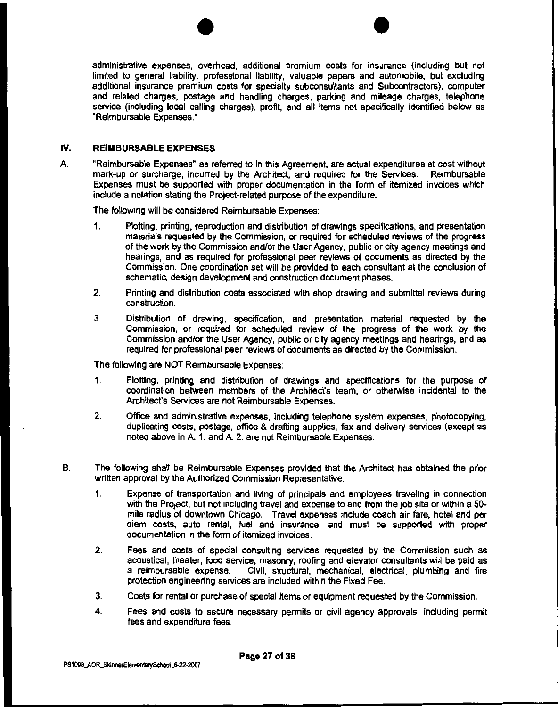$\bullet$   $\bullet$ administrative expenses, overhead, additional premium costs for insurance (including but not limited to general liability, professional liability, valuable papers and automobile, but excluding additional insurance premium costs for specialty subconsultants and Subcontractors), computer and related charges, postage and handling charges, parking and mileage charges, telephone service (including local calling charges), profit, and all items not specifically identified below as "Reimbursable Expenses."

#### IV. **REIMBURSABLE EXPENSES**

A "Reimbursable Expenses" as referred to in this Agreement, are actual expenditures at cost without mark-up or surcharge, incurred by the Architect, and required for the Services. Reimbursable Expenses must be supported with proper documentation in the form of itemized invoices which include a notation stating the Project-related purpose of the expenditure.

The following will be considered Reimbursable Expenses:

- 1. Plotting, printing, reproduction and distribution of drawings specifications, and presentation materials requested by the Commission, or required for scheduled reviews of the progress of the work by the Commission and/or the User Agency, public or city agency meetings and hearings, and as required for professional peer reviews of documents as directed by the Commission. One coordination set will be provided to each consultant at the conclusion of schematic, design development and construction document phases.
- 2. Printing and distribution costs associated with shop drawing and submittal reviews during construction.
- 3. Distribution of drawing, specification, and presentation material requested by the Commission, or required for scheduled review of the progress of the work by the Commission and/or the User Agency, public or city agency meetings and hearings, and as required for professional peer reviews of documents as directed by the Commission.

The following are NOT Reimbursable Expenses:

- 1. Plotting, printing and distribution of drawings and specifications for the purpose of coordination between members of the Architect's team, or otherwise incidental to the Architect's Services are not Reimbursable Expenses.
- 2. Office and administrative expenses, including telephone system expenses, photocopying, duplicating costs, postage, office & drafting supplies, fax and delivery services (except as noted above in A, 1, and A, 2, are not Reimbursable Expenses.
- B. The following shall be Reimbursable Expenses provided that the Architect has obtained the prior written approval by the Authorized Commission Representative:
	- 1. Expense of transportation and living of principals and employees traveling in connection with the Project, but not including travel and expense to and from the job site or within a 50 mile radius of downtown Chicago. Travel expenses include coach air fare, hotel and per diem costs, auto rental, fuel and insurance, and must be supported with proper documentation in the form of itemized invoices.
	- 2. Fees and costs of special consulting services requested by the Commission such as acoustical, theater, food service, masonry, roofing and elevator consultants will be paid as Civil, structural, mechanical, electrical, plumbing and fire protection engineering services are included within the Fixed Fee.
	- 3. Costs for rental or purchase of special items or equipment requested by the Commission.
	- 4. Fees and costs to secure necessary permits or civil agency approvals, including permit fees and expenditure fees.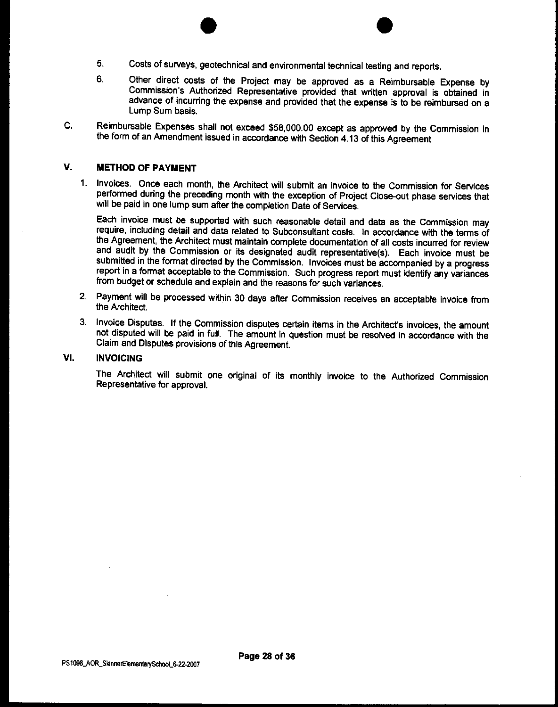- $\bullet$ 5. Costs of surveys, geotechnical and environmental technical testing and reports.
- 6. Other direct costs of the Project may be approved as a Reimbursable Expense by Commission's Authorized Representative provided that written approval is obtained in advance of incurring the expense and provided that the expense is to be reimbursed on a Lump Sum basis.
- C. Reimbursable Expenses shall not exceed \$58,000.00 except as approved by the Commission in the form of an Amendment issued in accordance with Section 4.13 of this Agreement

#### V. METHOD OF PAYMENT

1. Invoices. Once each month, the Architect will submit an invoice to the Commission for Services performed during the preceding month with the exception of Project Close-out phase services that will be paid in one lump sum after the completion Date of Services.

Each invoice must be supported with such reasonable detail and data as the Commission may require, including detail and data related to Subconsultant costs. In accordance with the terms of the Agreement, the Architect must maintain complete documentation of all costs incurred for review and audit by the Commission or its designated audit representative(s). Each invoice must be submitted in the format directed by the Commission. Invoices must be accompanied by a progress report in a format acceptable to the Commission. Such progress report must identify any variances from budget or schedule and explain and the reasons for such variances.

- 2. Payment will be processed within 30 days after Commission receives an acceptable invoice from the Architect.
- 3. Invoice Disputes. If the Commission disputes certain items in the Architect's invoices, the amount not disputed will be paid in full. The amount in question must be resolved in accordance with the Claim and Disputes provisions of this Agreement.

#### VI. INVOICING

The Architect will submit one original of its monthly invoice to the Authorized Commission Representative for approval.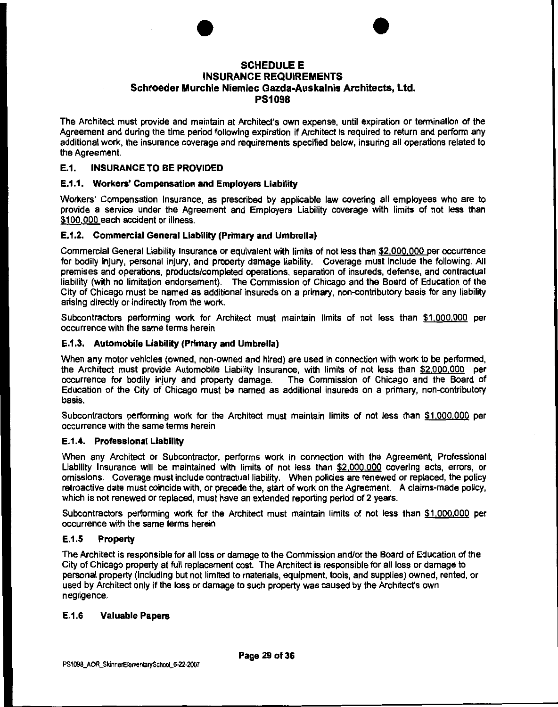# • SCHEDULE E INSURANCE REQUIREMENTS • Schroeder Murchie Niemiec Gazda-Auskalnis Architects, Ltd. PS1098

The Architect must provide and maintain at Architect's own expense, until expiration or termination of the Agreement and during the time period following expiration if Architect is required to return and perform any additional work, the insurance coverage and requirements specified below, insuring all operations related to the Agreement.

#### E.1. INSURANCE TO BE PROVIDED

#### E.1.1. Workers' Compensation and Employers Liability

Workers' Compensation Insurance, as prescribed by applicable law covering all employees who are to provide a service under the Agreement and Employers Liability coverage with limits of not less than \$100.000 each accident or illness.

#### E.1.2. Commercial General Liability (Primary and Umbrella)

Commercial General Liability Insurance or equivalent with limits of not less than \$2.000.000 per occurrence for bodily injury, personal injury, and property damage liability. Coverage must include the following: All premises and operations, products/completed operations, separation of insureds, defense, and contractual liability (with no limitation endorsement). The Commission of Chicago and the Board of Education of the City of Chicago must be named as additional insureds on a primary, non-contributory basis for any liability arising directly or indirectly from the work.

Subcontractors performing work for Architect must maintain limits of not less than \$1,000.000 per occurrence with the same terms herein

#### E.1.3. Automobile Liability (Primary and Umbrella)

When any motor vehicles (owned, non-owned and hired) are used in connection with work to be performed, the Architect must provide Automobile Liability Insurance, with limits of not less than \$2,000,000 per occurrence for bodily injury and property damage. The Commission of Chicago and the Board of Education of the City of Chicago must be named as additional insureds on a primary, non-contributory basis.

Subcontractors performing work for the Architect must maintain limits of not less than \$1.000,000 per occurrence with the same terms herein

#### E.1.4. Professional Liability

When any Architect or Subcontractor, performs work in connection with the Agreement, Professional Liability Insurance will be maintained with limits of not less than \$2,000,000 covering acts, errors, or omissions. Coverage must include contractual liability. When policies are renewed or replaced, the policy retroactive date must coincide with, or precede the, start of work on the Agreement. A claims-made policy, which is not renewed or replaced, must have an extended reporting period of 2 years.

Subcontractors performing work for the Architect must maintain limits of not less than \$1.000.000 per occurrence with the same terms herein

#### E.1.5 Property

The Architect is responsible for all loss or damage to the Commission and/or the Board of Education of the City of Chicago property at full replacement cost. The Architect is responsible for all loss or damage to personal property (including but not limited to materials, equipment, tools, and supplies) owned, rented, or used by Architect only if the loss or damage to such property was caused by the Architect's own negligence.

#### E.1.6 Valuable Papers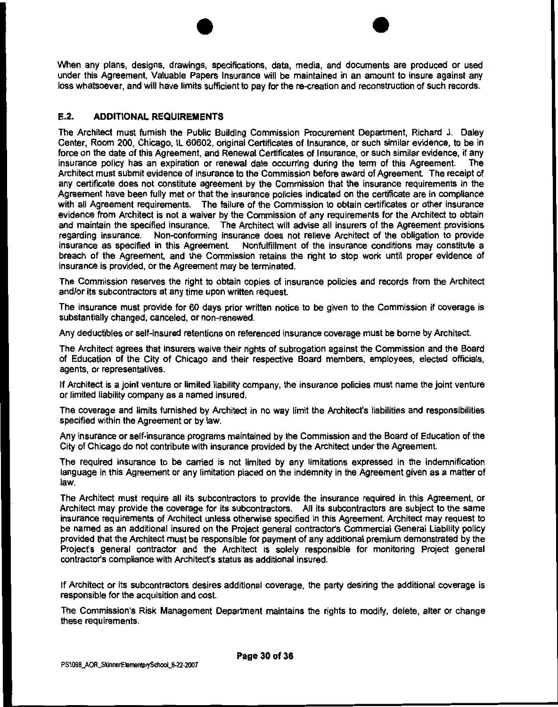$\bullet$   $\bullet$ When any plans, designs, drawings, specifications, data, media, and documents are produced or used under this Agreement, Valuable Papers Insurance will be maintained in an amount to insure against any loss whatsoever, and will have limits sufficient to pay for the re-creation and reconstruction of such records.

#### **E.2. ADDITIONAL REQUIREMENTS**

The Architect must furnish the Public Building Commission Procurement Department, Richard J. Daley Center, Room 200, Chicago, IL 60602, original Certificates of Insurance, or such similar evidence, to be in force on the date of this Agreement, and Renewal Certificates of Insurance, or such similar evidence, if any insurance policy has an expiration or renewal date occurring during the term of this Agreement. The Architect must submit evidence of insurance to the Commission before award of Agreement The receipt of any certificate does not constitute agreement by the Commission that the insurance requirements in the Agreement have been fully met or that the insurance policies indicated on the certificate are in compliance with all Agreement requirements. The failure of the Commission to obtain certificates or other insurance evidence from Architect is not a waiver by the Commission of any requirements for the Architect to obtain and maintain the specified insurance. The Architect will advise all insurers of the Agreement provisions regarding insurance. Non-conforming insurance does not relieve Architect of the obligation to provide insurance as specified in this Agreement. Nonfulfillment of the insurance conditions may constitute a breach of the Agreement, and the Commission retains the right to stop work until proper evidence of insurance is provided, or the Agreement may be terminated.

The Commission reserves the right to obtain copies of insurance policies and records from the Architect and/or its subcontractors at any time upon written request.

The insurance must provide for 60 days prior written notice to be given to the Commission if coverage is substantially changed, canceled, or non-renewed.

Any deductibles or self-insured retentions on referenced insurance coverage must be borne by Architect.

The Architect agrees that insurers waive their rights of subrogation against the Commission and the Board of Education of the City of Chicago and their respective Board members, employees, elected officials, agents, or representatives.

If Architect is a joint venture or limited liability company, the insurance policies must name the joint venture or limited liability company as a named insured.

The coverage and limits furnished by Architect in no way limit the Architect's liabilities and responsibilities specified within the Agreement or by law.

Any insurance or self-insurance programs maintained by the Commission and the Board of Education of the City of Chicago do not contribute with insurance provided by the Architect under the Agreement.

The required insurance to be carried is not limited by any limitations expressed in the indemnification language in this Agreement or any limitation placed on the indemnity in the Agreement given as a matter of law.

The Architect must require all its subcontractors to provide the insurance required in this Agreement, or Architect may provide the coverage for its subcontractors. All its subcontractors are subject to the same insurance requirements of Architect unless otherwise specified in this Agreement. Architect may request to be named as an additional insured on the Project general contractor's Commercial General Liability policy provided that the Architect must be responsible for payment of any additional premium demonstrated by the Project's general contractor and the Architect is solely responsible for monitoring Project general contractor's compliance with Architect's status as additional insured.

If Architect or its subcontractors desires additional coverage, the party desiring the additional coverage is responsible for the acquisition and cost.

The Commission's Risk Management Department maintains the rights to modify, delete, alter or change these requirements.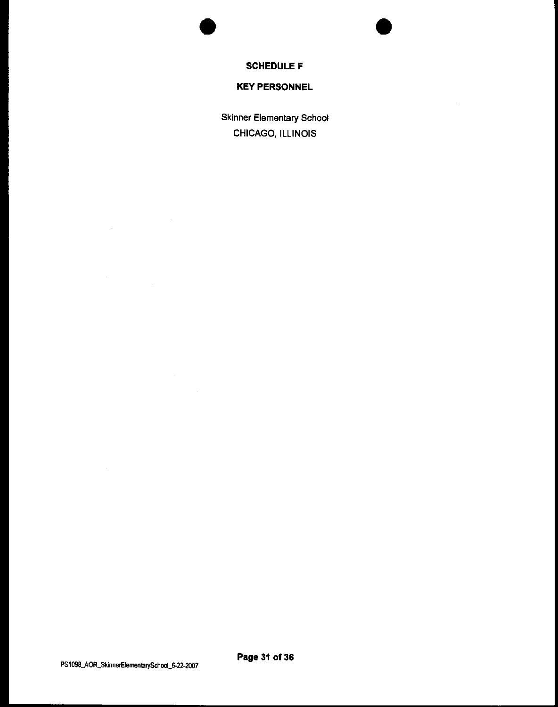**SCHEDULE F** 

•

 $\mathcal{A}$ 

•

 $\mathcal{L}^{\text{max}}_{\text{max}}$ 

#### **KEY PERSONNEL**

Skinner Elementary School CHICAGO, ILLINOIS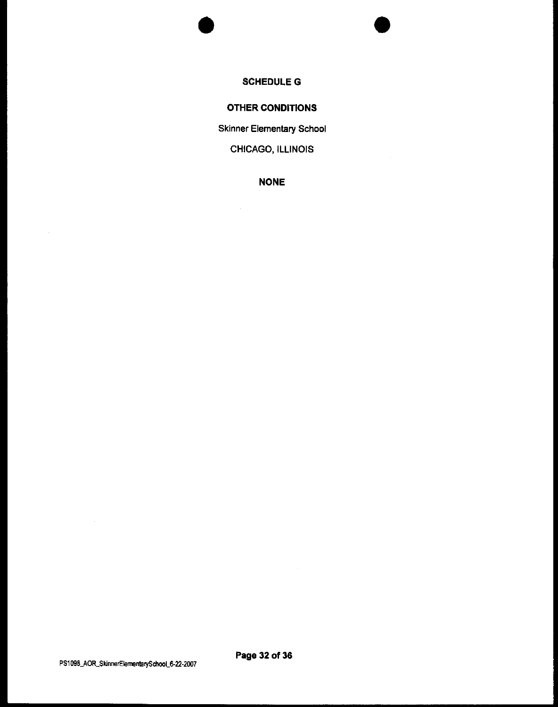# **SCHEDULEG**

•

•

#### **OTHER CONDITIONS**

Skinner Elementary School

CHICAGO, ILLINOIS

**NONE** 

 $\hat{\mathcal{A}}$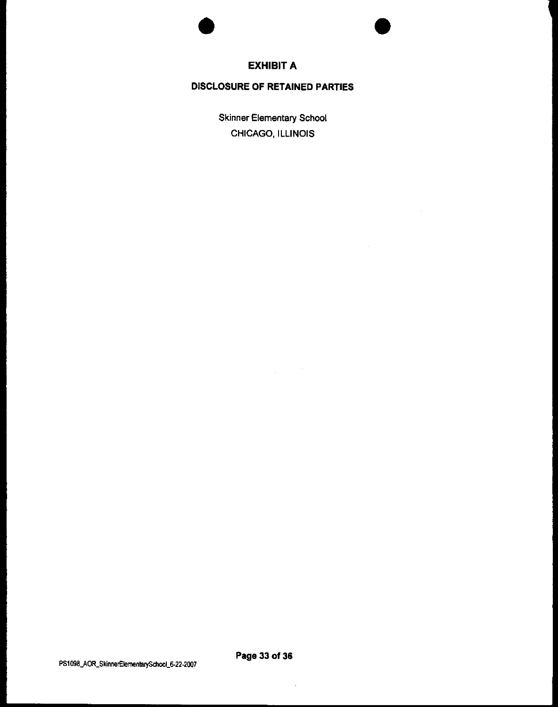



 $\bar{z}$ 

#### **EXHIBIT A**

#### **DISCLOSURE OF RETAINED PARTIES**

Skinner Elementary School CHICAGO, ILLINOIS

 $\sim$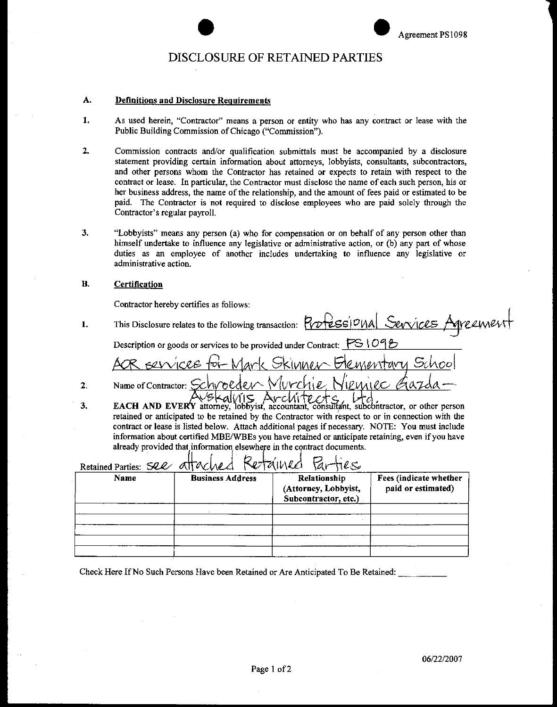# external and the Contract of RETAINED PARTIES Agreement PS1098

#### A. Definitions and Disclosure Requirements

- **1. As used herein, "Contractor" means a person or entity who has any contract or lease with the**  Public Building Commission of Chicago ("Commission").
- 2. Commission contracts and/or qualification submittals must be accompanied by a disclosure statement providing certain information about attorneys, lobbyists, consultants, subcontractors, and other persons whom the Contractor has retained or expects to retain with respect to the contract or lease. In particular, the Contractor must disclose the name of each such person, his or her business address, the name of the relationship, and the amount of fees paid or estimated to be paid. The Contractor is not required to disclose employees who are paid solely through the Contractor's regular payroll.
- 3. "Lobbyists" means any person (a) who for compensation or on behalf of any person other than himself undertake to influence any legislative or administrative action, or (b) any part of whose duties as an employee of another includes undertaking to influence any legislative or **administrative action.**

#### B. Certification

Contractor hereby certifies as follows:

- 1. This Disclosure relates to the following transaction:  $Prof$ **ess** |  $O|NA$  Sevvices Agreement Description or goods or services to be provided under Contract:  $\mathcal{F} \mathbb{S} \setminus \mathcal{O} \mathcal{P}$ **Elementary School** Skimmar SELVICRE tor Mark Name of Contractor: Schvoeder Wive 2. EACH AND EVERY attorney, lobbyist, accountant, consultant, subcontractor, or other person
- 3. retained or anticipated to be retained by the Contractor with respect to or in connection with the contract or lease is listed below. Attach additional pages if necessary. NOTE: You must include information about certified MBE/WBEs you have retained or anticipate retaining, even if you have already provided that information elsewhere in the contract documents.

| Retained Parties<br>Retained Parties: See attached |                         |                                                              |                                              |
|----------------------------------------------------|-------------------------|--------------------------------------------------------------|----------------------------------------------|
| Name                                               | <b>Business Address</b> | Relationship<br>(Attorney, Lobbyist,<br>Subcontractor, etc.) | Fees (indicate whether<br>paid or estimated) |
|                                                    |                         |                                                              |                                              |
|                                                    |                         |                                                              |                                              |
|                                                    |                         |                                                              |                                              |
|                                                    |                         |                                                              |                                              |

Check Here If No Such Persons Have been Retained or Are Anticipated To Be Retained: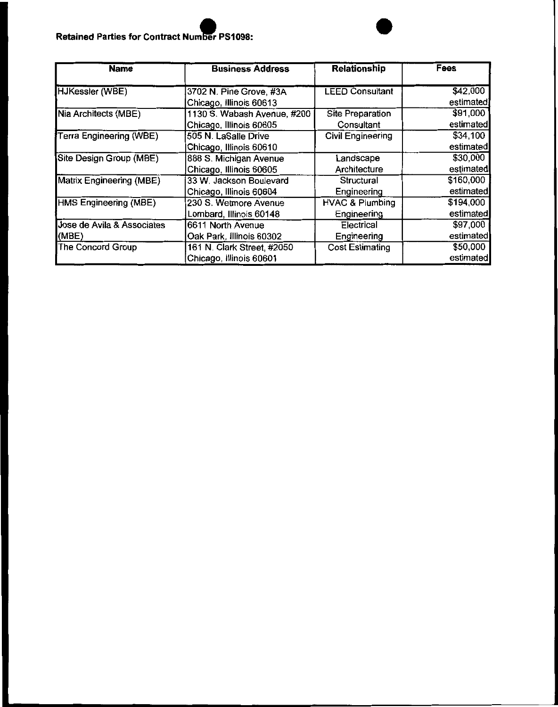#### **Retained Parties for Contract Number PS1098:**

| <b>Name</b>                | <b>Business Address</b>     | <b>Relationship</b>        | Fees      |
|----------------------------|-----------------------------|----------------------------|-----------|
| <b>HJKessler (WBE)</b>     | 3702 N. Pine Grove, #3A     | <b>LEED Consultant</b>     | \$42,000  |
|                            | Chicago, illinois 60613     |                            | estimated |
| Nia Architects (MBE)       | 1130 S. Wabash Avenue, #200 | Site Preparation           | \$91,000  |
|                            | Chicago, Illinois 60605     | Consultant                 | estimated |
| Terra Engineering (WBE)    | 505 N. LaSalle Drive        | <b>Civil Engineering</b>   | \$34,100  |
|                            | Chicago, Illinois 60610     |                            | estimated |
| Site Design Group (MBE)    | 888 S. Michigan Avenue      | Landscape                  | \$30,000  |
|                            | Chicago, Illinois 60605     | Architecture               | estimated |
| Matrix Engineering (MBE)   | 33 W. Jackson Boulevard     | <b>Structural</b>          | \$160,000 |
|                            | Chicago, Illinois 60604     | Engineering                | estimated |
| HMS Engineering (MBE)      | 230 S. Wetmore Avenue       | <b>HVAC &amp; Plumbing</b> | \$194,000 |
|                            | Lombard, Illinois 60148     | Engineering                | estimated |
| Jose de Avila & Associates | 6611 North Avenue           | Electrical                 | \$97,000  |
| (MBE)                      | Oak Park, Illinois 60302    | Engineering                | estimated |
| The Concord Group          | 161 N. Clark Street, #2050  | <b>Cost Estimating</b>     | \$50,000  |
|                            | Chicago, Illinois 60601     |                            | estimated |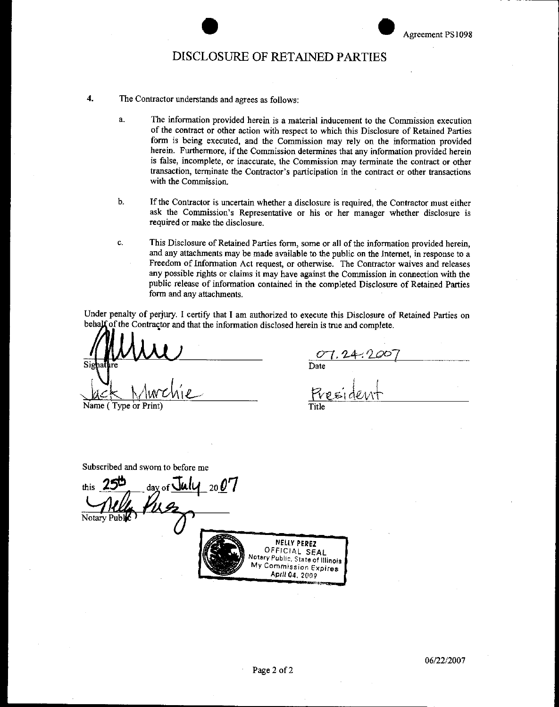# external results and the CISCLOSURE OF RETAINED PARTIES

- **4.** The Contractor understands and agrees as follows:
	- a. The information provided herein is a material inducement to the Commission execution of the contract or other action with respect to which this Disclosure of Retained Parties form is being executed, and the Commission may rely on the information provided herein. Furthermore, if the Commission determines that any information provided herein **is false, incomplete, or inaccurate, the Commission may terminate the contract or other**  transaction, terminate the Contractor's participation in the contract or other transactions with the Commission.
	- b. If the Contractor is uncertain whether a disclosure is required, the Contractor must either ask the Commission's Representative or his or her manager whether disclosure is required or make the disclosure.
	- c. This Disclosure of Retained Parties form, some or all of the information provided herein, and any attachments may be made available to the public on the Internet, in response to a Freedom of Information Act request, or otherwise. The Contractor waives and releases any possible rights or claims it may have against the Commission in connection with the public release of information contained in the completed Disclosure of Retained Parties form and any attachments.

Under penalty of perjury. I certify that I am authorized to execute this Disclosure of Retained Parties on behalf of the Contractor and that the information disclosed herein is true and complete.

Name (Type or Print) Title

Date

Subscribed and sworn to before me

 $\frac{1}{256}$  **day** of  $\frac{July}{2007}$ Notary Public<sup>1</sup> NELlY **PEREZ**  OFFICIAL SEAL **Notary Pubhc, State of llllno1s My Comm1ss1on Exprres**  Aplll 04, 2009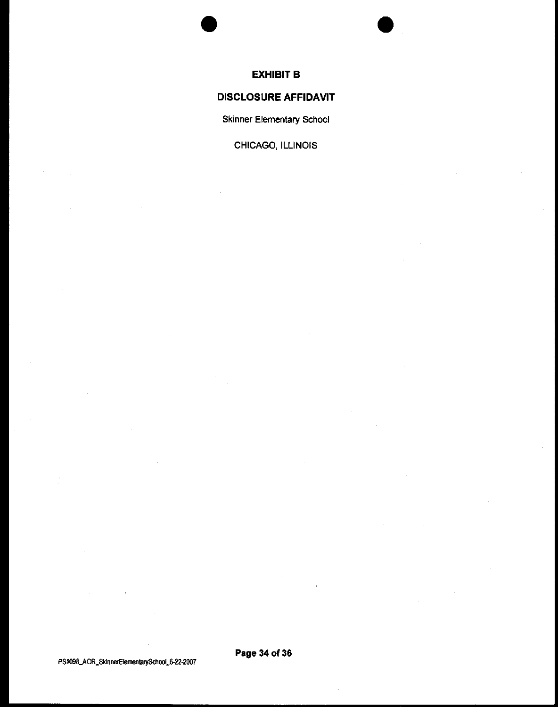

#### **EXHIBIT B**

•

# **DISCLOSURE AFFIDAVIT**

Skinner Elementary School

CHICAGO, ILLINOIS

PS1098\_AOR\_SkinnerElementaiySchool\_6-22-2007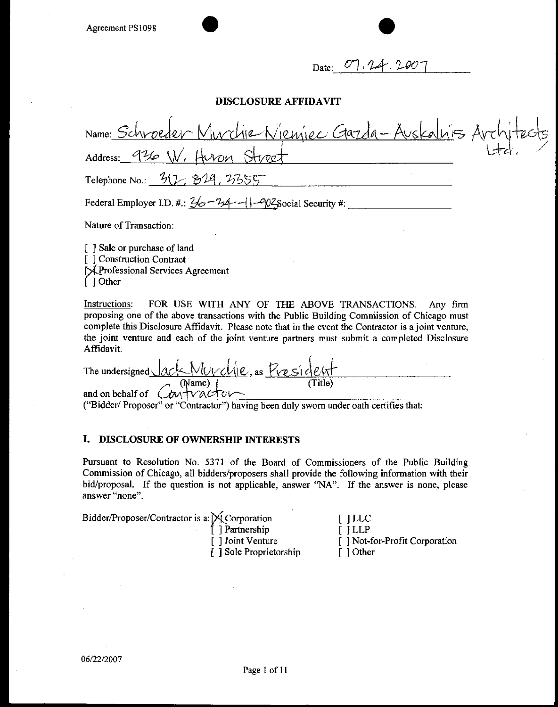# Date: 07, 24

#### **DISCLOSURE AFFIDAVIT**

| Name: Schroeder Murchie Niemiec Gazda-Auskalnis Architects                                  |  |
|---------------------------------------------------------------------------------------------|--|
| Address: 936 W, Huron Street                                                                |  |
| Telephone No.: $3(2, 814, 2355)$                                                            |  |
| Federal Employer I.D. #: $\frac{2}{6} - \frac{7}{4} - 1 - \frac{202}{5}$ social Security #: |  |

Nature of Transaction:

[ ] Sale or purchase of land [ ] Construction Contract MProfessional Services Agreement ( ] Other

Instructions: FOR USE WITH ANY OF THE ABOVE TRANSACTIONS. Any firm proposing one of the above transactions with the Public Building Commission of Chicago must complete this Disclosure Affidavit. Please note that in the event the Contractor is a joint venture, the joint venture and each of the joint venture partners must submit a completed Disclosure Affidavit.

The undersigned *Jack Murch*le, as *President*  $(Name)$ and on behalf of  $\theta$  m tv actor

("Bidder/ Proposer" or "Contractor") having been duly sworn under oath certifies that:

#### **I. DISCLOSURE OF OWNERSHIP INTERESTS**

Pursuant to Resolution No. 5371 of the Board of Commissioners of the Public Building Commission of Chicago, all bidders/proposers shall provide the following information with their bid/proposal. If the question is not applicable, answer "NA". If the answer is none, please answer "none".

| Bidder/Proposer/Contractor is a: X Corporation |                         | $[1]$ LLC                     |
|------------------------------------------------|-------------------------|-------------------------------|
|                                                | f ] Partnership         | $[1]$ LLP                     |
|                                                | [ ] Joint Venture       | [] Not-for-Profit Corporation |
|                                                | [ ] Sole Proprietorship | $\lceil$ 1 Other              |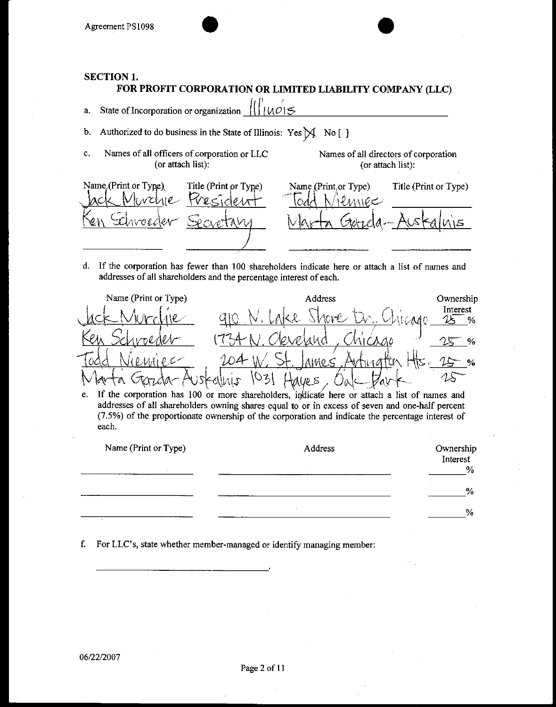#### **SECTION 1.**

#### FOR PROFIT CORPORATION OR LIMITED LIABILITY COMPANY (LLC)

- a. State of Incorporation or organization 1 <u>l U.O</u> 1 '--'l \$"---------------
- b. Authorized to do business in the State of Illinois: Yes  $M$  No [ ]
- c. Names of all officers of corporation or LLC (or attach list):

Names of all directors of corporation (or attach list):



d. If the corporation has fewer than 100 shareholders indicate here or attach a list of names and addresses of all shareholders and the percentage interest of each.



e. If the corporation has 100 or more shareholders, indicate here or attach a list of names and addresses of all shareholders owning shares equal to or in excess of seven and one-half percent (7.5%) of the proportionate ownership of the corporation and indicate the percentage interest of each.

| Name (Print or Type) | Address | Ownership<br>Interest<br>$\%$ |
|----------------------|---------|-------------------------------|
|                      |         | $\%$                          |
|                      |         | %                             |

f. For LLC's, state whether member-managed or identify managing member: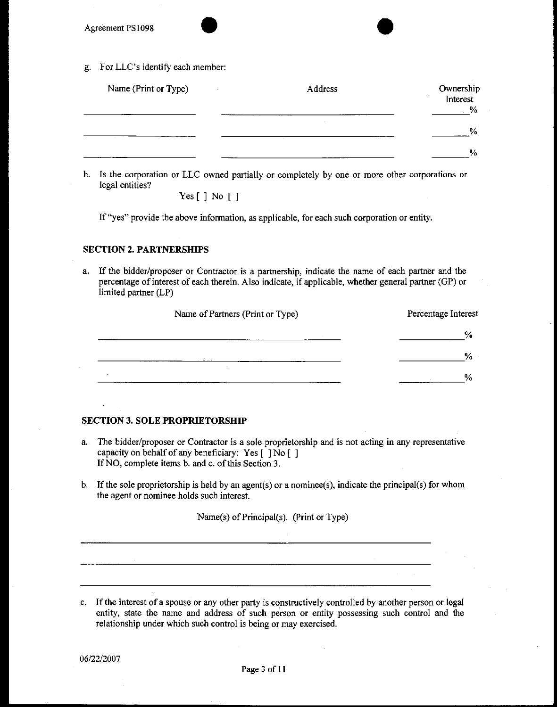g. For LLC's identify each member:

| Name (Print or Type) | Address | Ownership<br>Interest<br>% |
|----------------------|---------|----------------------------|
|                      |         | $\frac{1}{2}$              |
|                      |         | %                          |

h. Is the corporation or LLC owned partially or completely by one or more other corporations or legal entities?

Yes [ ] No [ ]

If "yes" provide the above information, as applicable, for each such corporation or entity.

#### **SECTION 2. PARTNERSHIPS**

a. If the bidder/proposer or Contractor is a partnership, indicate the name of each partner and the percentage of interest of each therein. Also indicate, if applicable, whether general partner (GP) or limited partner (LP)

| Name of Partners (Print or Type) | Percentage Interest |  |
|----------------------------------|---------------------|--|
| $\sim$                           | %                   |  |
|                                  | %                   |  |
|                                  | %                   |  |

#### **SECTION 3. SOLE PROPRIETORSHIP**

- a. The bidder/proposer or Contractor is a sole proprietorship and is not acting in any representative capacity on behalf of any beneficiary: Yes  $\lceil \cdot \rceil$  No  $\lceil \cdot \rceil$ IfNO, complete items b. and c. of this Section 3.
- b. If the sole proprietorship is held by an agent(s) or a nominee(s), indicate the principal(s) for whom the agent or nominee holds such interest.

Name(s) of Principal(s). (Print or Type)

c. If the interest of a spouse or any other party is constructively controlled by another person or legal entity, state the name and address of such person or entity possessing such control and the relationship under which such control is being or may exercised.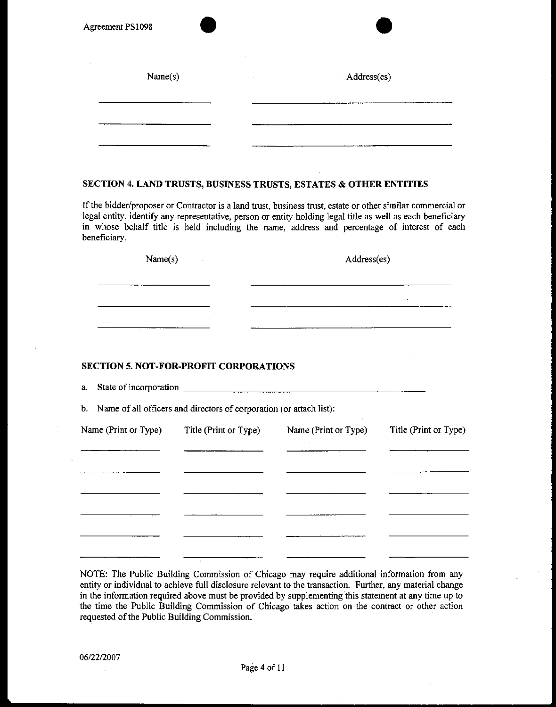| Name(s) | Address(es) |
|---------|-------------|
|         |             |
|         |             |

#### **SECTION 4. LAND TRUSTS, BUSINESS TRUSTS, EST ATES & OTHER ENTITIES**

If the bidder/proposer or Contractor is a land trust, business trust, estate or other similar commercial or legal entity, identify any representative, person or entity holding legal title as well as each beneficiary in whose behalf title is held including the name, address and percentage of interest of each beneficiary.

| Name(s)<br>$\sim$ | Address(es) |  |
|-------------------|-------------|--|
| <b>1999</b>       |             |  |
|                   |             |  |
|                   |             |  |
| $\overline{a}$    |             |  |

#### **SECTION 5. NOT-FOR-PROFIT CORPORATIONS**

a. State of incorporation  $\overline{\qquad \qquad }$ 

b. Name of all officers and directors of corporation (or attach list):

| Name (Print or Type) | Title (Print or Type) | Name (Print or Type) | Title (Print or Type) |
|----------------------|-----------------------|----------------------|-----------------------|
|                      |                       |                      |                       |
|                      |                       |                      |                       |
|                      |                       |                      |                       |
|                      |                       |                      | $\sim$                |
|                      |                       |                      |                       |

NOTE: The Public Building Commission of Chicago may require additional information from any entity or individual to achieve full disclosure relevant to the transaction. Further, any material change in the information required above must be provided by supplementing this statement at any time up to the time the Public Building Commission of Chicago takes action on the contract or other action requested of the Public Building Commission.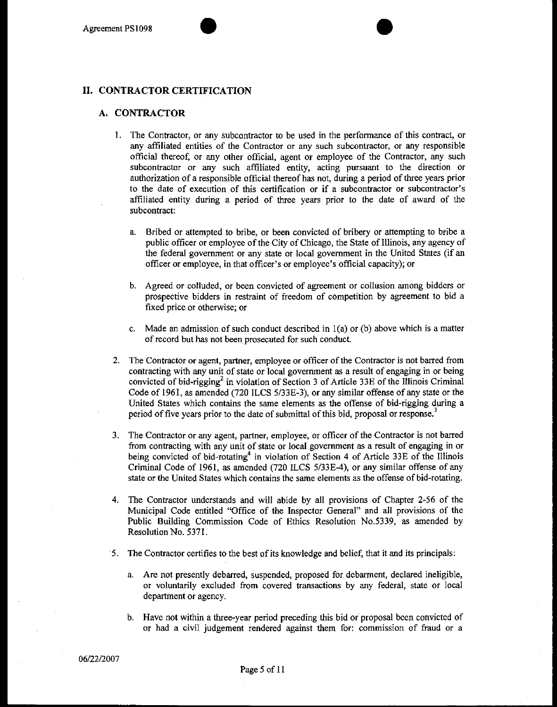#### **II. CONTRACTOR CERTIFICATION**

#### **A. CONTRACTOR**

- I. The Contractor, or any subcontractor to be used in the performance of this contract, or any affiliated entities of the Contractor or any such subcontractor, or any responsible official thereof, or any other official, agent or employee of the Contractor, any such subcontractor or any such affiliated entity, acting pursuant to the direction or authorization of a responsible official thereof has not, during a period of three years prior to the date of execution of this certification or if a subcontractor or subcontractor's affiliated entity during a period of three years prior to the date of award of the subcontract:
	- a. Bribed or attempted to bribe, or been convicted of bribery or attempting to bribe a public officer or employee of the City of Chicago, the State of Illinois, any agency of the federal government or any state or local government in the United States (if an officer or employee, in that officer's or employee's official capacity); or
	- b. Agreed or colluded, or been convicted of agreement or collusion among bidders or prospective bidders in restraint of freedom of competition by agreement to bid a fixed price or otherwise; or
	- c. Made an admission of such conduct described in  $l(a)$  or (b) above which is a matter of record but has not been prosecuted for such conduct.
- 2. The Contractor or agent, partner, employee or officer of the Contractor is not barred from contracting with any unit of state or local government as a result of engaging in or being convicted of bid-rigging<sup>2</sup> in violation of Section 3 of Article 33E of the Illinois Criminal Code of 1961, as amended (720 ILCS 5/33E-3), or any similar offense of any state or the United States which contains the same elements as the offense of bid-rigging during a period of five years prior to the date of submittal of this bid, proposal or response.<sup>3</sup>
- 3. The Contractor or any agent, partner, employee, or officer of the Contractor is not barred from contracting with any unit of state or local government as a result of engaging in or being convicted of bid-rotating<sup>4</sup> in violation of Section 4 of Article 33E of the Illinois Criminal Code of 1961, as amended (720 ILCS 5/33E-4), or any similar offense of any state or the United States which contains the same elements as the offense of bid-rotating.
- 4. The Contractor understands and will abide by all provisions of Chapter 2-56 of the Municipal Code entitled "Office of the Inspector General" and all provisions of the Public Building Commission Code of Ethics Resolution No.5339, as amended by Resolution No. 5371.
- ·s. The Contractor certifies to the best of its knowledge and belief, that it and its principals:
	- a. Are not presently debarred, suspended, proposed for debarment, declared ineligible, or voluntarily excluded from covered transactions by any federal, state or local department or agency.
	- b. Have not within a three-year period preceding this bid or proposal been convicted of or had a civil judgement rendered against them for: commission of fraud or a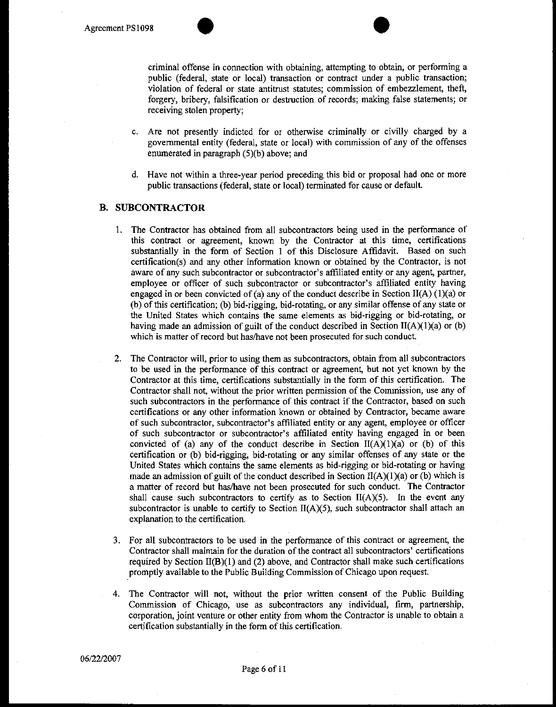criminal offense in cormection with obtaining, attempting to obtain, or performing a public (federal, state or local) transaction or contract under a public transaction; violation of federal or state antitrust statutes; commission of embezzlement, theft, forgery, bribery, falsification or destruction of records; making false statements; or receiving stolen property;

- c. Are not presently indicted for or otherwise criminally or civilly charged by a govermnental entity (federal, state or local) with commission of any of the offenses enumerated in paragraph (5)(b) above; and
- d. Have not within a three-year period preceding this bid or proposal had one or more public transactions (federal, state or local) terminated for cause or default.

#### **B. SUBCONTRACTOR**

- 1. The Contractor has obtained from all subcontractors being used in the performance of this contract or agreement, known by the Contractor at this time, certifications substantially in the form of Section 1 of this Disclosure Affidavit. Based on such certification(s) and any other information known or obtained by the Contractor, is not aware of any such subcontractor or subcontractor's affiliated entity or any agent, partner, employee or officer of such subcontractor or subcontractor's affiliated entity having engaged in or been convicted of (a) any of the conduct describe in Section II(A) (1)(a) or (b) of this certification; (b) bid-rigging, bid-rotating, or any similar offense of any state or the United States which contains the same elements as bid-rigging or bid-rotating, or having made an admission of guilt of the conduct described in Section II(A)(1)(a) or (b) which is matter of record but has/have not been prosecuted for such conduct.
- 2. The Contractor will, prior to using them as subcontractors, obtain from all subcontractors to be used in the performance of this contract or agreement, but not yet known by the Contractor at this time, certifications substantially in the form of this certification. The Contractor shall not, without the prior written permission of the Commission, use any of such subcontractors in the performance of this contract if the Contractor, based on such certifications or any other information known or obtained by Contractor, became aware of such subcontractor, subcontractor's affiliated entity or any agent, employee or officer of such subcontractor or subcontractor's affiliated entity having engaged in or been convicted of (a) any of the conduct describe in Section  $II(A)(1)(a)$  or (b) of this certification or (b) bid-rigging, bid-rotating or any similar offenses of any state or the United States which contains the same elements as bid-rigging or bid-rotating or having made an admission of guilt of the conduct described in Section  $II(A)(1)(a)$  or (b) which is a matter of record but has/have not been prosecuted for such conduct. The Contractor shall cause such subcontractors to certify as to Section  $II(A)(5)$ . In the event any subcontractor is unable to certify to Section  $II(A)(5)$ , such subcontractor shall attach an explanation to the certification.
- 3. For all subcontractors to be used in the performance of this contract or agreement, the Contractor shall maintain for the duration of the contract all subcontractors' certifications required by Section  $II(B)(1)$  and  $(2)$  above, and Contractor shall make such certifications promptly available to the Public Building Commission of Chicago upon request.
- 4. The Contractor will not, without the prior written consent of the Public Building Commission of Chicago, use as subcontractors any individual, firm, partnership, corporation, joint venture or other entity from whom the Contractor is unable to obtain a certification substantially in the form of this certification.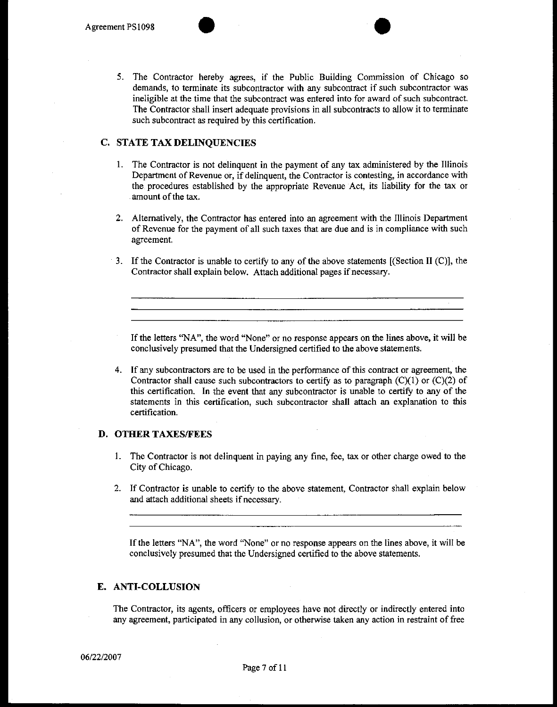5. The Contractor hereby agrees, if the Public Building Commission of Chicago so demands, to terminate its subcontractor with any subcontract if such subcontractor was ineligible at the time that the subcontract was entered into for award of such subcontract. The Contractor shall insert adequate provisions in all subcontracts to allow it to terminate such subcontract as required by this certification.

#### **C. STATE TAX DELINQUENCIES**

- I. The Contractor is not delinquent in the payment of any tax administered by the Illinois Department of Revenue or, if delinquent, the Contractor is contesting, in accordance with the procedures established by the appropriate Revenue Act, its liability for the tax or amount of the tax.
- 2. Alternatively, the Contractor has entered into an agreement with the Illinois Department of Revenue for the payment of all such taxes that are due and is in compliance with such agreement.
- 3. If the Contractor is unable to certify to any of the above statements [(Section II (C)], the Contractor shall explain below. Attach additional pages if necessary.

If the letters "NA", the word "None" or no response appears on the lines above, it will be conclusively presumed that the Undersigned certified to the above statements.

4. If any subcontractors are to be used in the performance of this contract or agreement, the Contractor shall cause such subcontractors to certify as to paragraph  $(C)(1)$  or  $(C)(2)$  of this certification. In the event that any subcontractor is unable to certify to any of the statements in this certification, such subcontractor shall attach an explanation to this certification.

#### **D. OTHER TAXES/FEES**

- I. The Contractor is not delinquent in paying any fine, fee, tax or other charge owed to the City of Chicago.
- 2. If Contractor is unable to certify to the above statement, Contractor shall explain below and attach additional sheets if necessary.

If the letters "NA", the word "None" or no response appears on the lines above, it will be conclusively presumed that the Undersigned certified to the above statements.

### **E. ANTI-COLLUSION**

The Contractor, its agents, officers or employees have not directly or indirectly entered into any agreement, participated in any collusion, or otherwise taken any action in restraint of free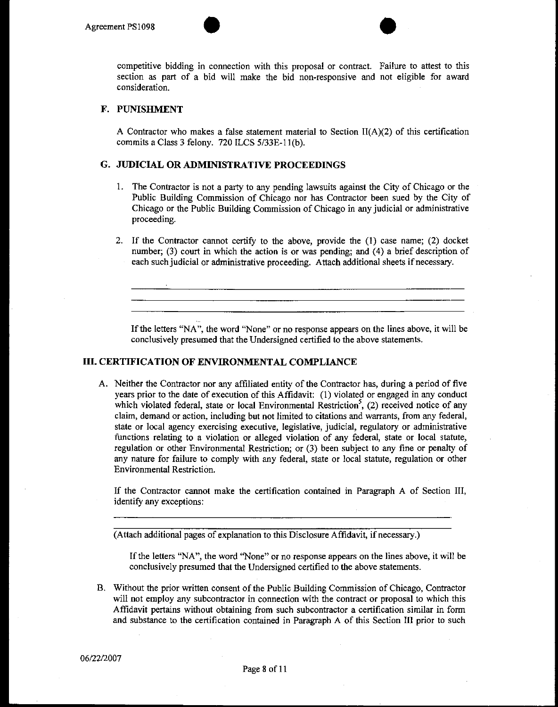

competitive bidding in connection with this proposal or contract. Failure to attest to this section as part of a bid will make the bid non-responsive and not eligible for award consideration.

#### **F. PUNISHMENT**

A Contractor who makes a false statement material to Section  $II(A)(2)$  of this certification commits a Class 3 felony. 720 ILCS 5/33E-11(b).

#### **G. JUDICIAL OR ADMINISTRATIVE PROCEEDINGS**

- 1. The Contractor is not a party to any pending lawsuits against the City of Chicago or the Public Building Commission of Chicago nor has Contractor been sued by the City of Chicago or the Public Building Commission of Chicago in any judicial or administrative proceeding.
- 2. If the Contractor cannot certify to the above, provide the (1) case name; (2) docket number; (3) court in which the action is or was pending; and (4) a brief description of each such judicial or administrative proceeding. Attach additional sheets if necessary.

If the letters "NA", the word "None" or no response appears on the lines above, it will be conclusively presumed that the Undersigned certified to the above statements.

#### **III. CERTIFICATION OF ENVIRONMENTAL COMPLIANCE**

A. Neither the Contractor nor any affiliated entity of the Contractor has, during a period of five years prior to the date of execution of this Affidavit: (1) violated or engaged in any conduct which violated federal, state or local Environmental Restriction<sup>5</sup>, (2) received notice of any claim, demand or action, including but not limited to citations and warrants, from any federal, state or local agency exercising executive, legislative, judicial, regulatory or administrative functions relating to a violation or alleged violation of any federal, state or local statute, regulation or other Environmental Restriction; or (3) been subject to any fine or penalty of any nature for failure to comply with any federal, state or local statute, regulation or other Environmental Restriction.

If the Contractor cannot make the certification contained in Paragraph A of Section III, identify any exceptions:

(Attach additional pages of explanation to this Disclosure Affidavit, if necessary.)

If the letters "NA", the word "None" or no response appears on the lines above, it will be conclusively presumed that the Undersigned certified to the above statements.

B. Without the prior written consent of the Public Building Commission of Chicago, Contractor will not employ any subcontractor in connection with the contract or proposal to which this Affidavit pertains without obtaining from such subcontractor a certification similar in form and substance to the certification contained in Paragraph A of this Section Ill prior to such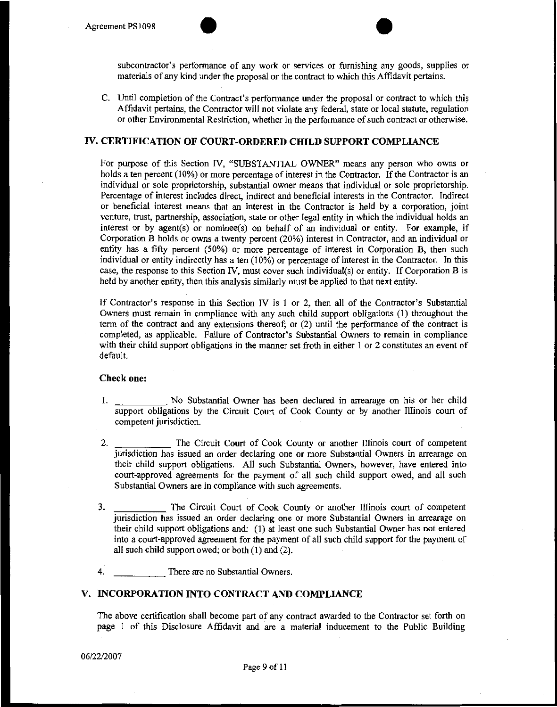

subcontractor's performance of any work or services or furnishing any goods, supplies or materials of any kind under the proposal or the contract to which this Affidavit pertains.

C. Until completion of the Contract's performance under the proposal or contract to which this Affidavit pertains, the Contractor will not violate any federal, state or local statute, regulation or other Environmental Restriction, whether in the performance of such contract or otherwise.

#### **IV. CERTIFICATION OF COURT-ORDERED CHILD SUPPORT COMPLIANCE**

For purpose of this Section IV, "SUBSTANTIAL OWNER" means any person who owns or holds a ten percent (10%) or more percentage of interest in the Contractor. If the Contractor is an individual or sole proprietorship, substantial owner means that individual or sole proprietorship. Percentage of interest includes direct, indirect and beneficial interests in the Contractor. Indirect or beneficial interest means that an interest in the Contractor is held by a corporation, joint venture, trust, partnership, association, state or other legal entity in which the individual holds an interest or by agent(s) or nominee(s) on behalf of an individual or entity. For example, if Corporation B holds or owns a twenty percent (20%) interest in Contractor, and an individual or entity has a fifty percent (50%) or more percentage of interest in Corporation B, then such individual or entity indirectly has a ten (10%) or percentage of interest in the Contractor. In this case, the response to this Section IV, must cover such individual(s) or entity. If Corporation B is held by another entity, then this analysis similarly must be applied to that next entity.

If Contractor's response in this Section IV is I or 2, then all of the Contractor's Substantial Owners must remain in compliance with any such child support obligations (!) throughout the term of the contract and any extensions thereof; or (2) until the performance of the contract is completed, as applicable. Failure of Contractor's Substantial Owners to remain in compliance with their child support obligations in the manner set froth in either 1 or 2 constitutes an event of default.

#### **Check one:**

- I. No Substantial Owner has been declared in arrearage on his or her child support obligations by the Circuit Court of Cook County or by another Illinois court of competent jurisdiction.
- 2. The Circuit Court of Cook County or another Illinois court of competent jurisdiction has issued an order declaring one or more Substantial Owners in arrearage on their child support obligations. All such Substantial Owners, however, have entered into court-approved agreements for the payment of all such child support owed, and all such Substantial Owners are in compliance with such agreements.
- 3. The Circuit Court of Cook County or another Illinois court of competent jurisdiction has issued an order declaring one or more Substantial Owners in arrearage on their child support obligations and: (I) at least one such Substantial Owner has not entered into a court-approved agreement for the payment of all such child support for the payment of all such child support owed; or both (I) and (2).
- 4. There are no Substantial Owners.

#### **V. INCORPORATION INTO CONTRACT AND COMPLIANCE**

The above certification shall become part of any contract awarded to the Contractor set forth on page 1 of this Disclosure Affidavit and are a material inducement to the Public Building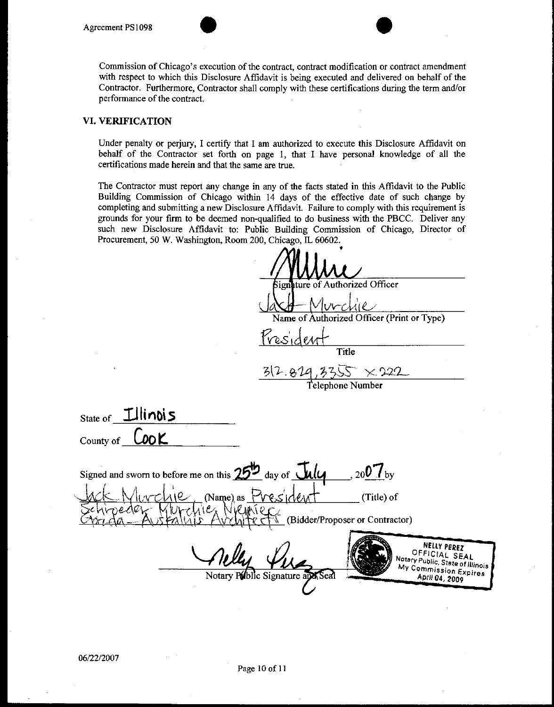

#### **VI. VERIFICATION**

Under penalty or perjury, I certify that I am authorized to execute this Disclosure Affidavit on behalf of the Contractor set forth on page I, that I have personal knowledge of all the certifications made herein and that the same are true.

The Contractor must report any change in any of the facts stated in this Affidavit to the Public Building Commission of Chicago within 14 days of the effective date of such change by completing and submitting a new Disclosure Affidavit. Failure to comply with this requirement is grounds for your firm to be deemed non-qualified to do business with the PBCC. Deliver any such new Disclosure Affidavit to: Public Building Commission of Chicago, Director of Procurement, 50 W. Washington, Room 200, Chicago, IL 60602. AĀ.

| $1100$ and $1000$ $1000$ $1100$ $1100$ $1100$ $1100$ $1100$ $1100$ $1100$                                                                       |
|-------------------------------------------------------------------------------------------------------------------------------------------------|
|                                                                                                                                                 |
| Signature of Authorized Officer                                                                                                                 |
| Ivrchie<br>Name of Authorized Officer (Print or Type)                                                                                           |
|                                                                                                                                                 |
| Presiden                                                                                                                                        |
| Title                                                                                                                                           |
| $312.829,3355 \times 222$                                                                                                                       |
| Telephone Number                                                                                                                                |
|                                                                                                                                                 |
| $_{\text{State of}}$ Illinois                                                                                                                   |
| County of $\mathsf{C}\mathsf{ODK}$                                                                                                              |
| Signed and sworn to before me on this 25 <sup>th</sup> day of <i>Ully</i><br>$200$ $V_{\rm by}$                                                 |
| $\frac{1}{2}$ (Name) as $P$ res/den<br>(Title) of<br>Tex Niemier                                                                                |
| (Bidder/Proposer or Contractor)                                                                                                                 |
|                                                                                                                                                 |
| NELLY PEREZ<br>OFFICIAL SEAL<br>Notary Public, State of Illinois<br>My Commission Expires<br>Notary Public Signature and Seal<br>April 04, 2009 |
|                                                                                                                                                 |
|                                                                                                                                                 |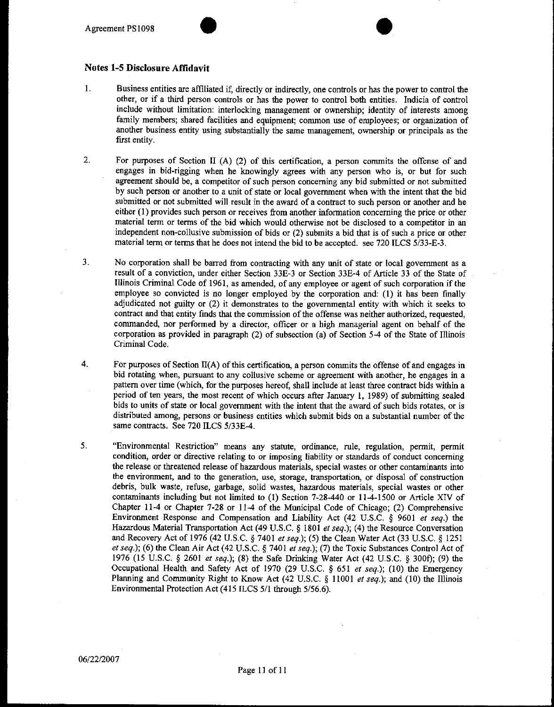

- 1. Business entities are affiliated if, directly or indirectly, one controls or has the power to control the other, or if a third person controls or has the power to control both entities. Indicia of control include without limitation: interlocking management or ownership; identity of interests among family members; shared facilities and equipment; common use of employees; or organization of another business entity using substantially the same management, ownership or principals as the first entity.
- 2. For purposes of Section II (A) (2) of this certification, a person commits the offense of and engages in bid-rigging when he knowingly agrees with any person who is, or but for such agreement should be, a competitor of such person concerning any bid submitted or not submitted by such person or another to a unit of state or local government when with the intent that the bid submitted or not submitted will result in the award of a contract to such person or another and he either (1) provides such person or receives from another information concerning the price or other material term or terms of the bid which would otherwise not be disclosed to a competitor in an independent non-collusive submission of bids or (2) submits a bid that is of such a price or other material term or terms that he does not intend the bid to be accepted. see 720 ILCS 5/33-E-3.
- 3. No corporation shall be barred from contracting with any unit of state or local government as a result of a conviction, under either Section 33E-3 or Section 33E-4 of Article 33 of the State of Illinois Criminal Code of 1961, as amended, of any employee or agent of such corporation if the employee so convicted is no longer employed by the corporation and: (I) it has been finally adjudicated not guilty or (2) it demonstrates to the governmental entity with which it seeks to contract and that entity finds that the commission of the offense was neither authorized, requested, commanded, nor performed by a director, officer or a high managerial agent on behalf of the corporation as provided in paragraph (2) of subsection (a) of Section 5-4 of the State of Illinois Criminal Code.
- 4. For purposes of Section Il(A) of this certification, a person commits the offense of and engages in bid rotating when, pursuant to any collusive scheme or agreement with another, he engages in a pattern over time (which, for the purposes hereof, shall include at least three contract bids within a period of ten years, the most recent of which occurs after January 1, 1989) of submitting sealed bids to units of state or local government with the intent that the award of such bids rotates, or is distributed among, persons or business entities which submit bids on a substantial number of the same contracts. See 720 ILCS 5/33E-4.
- 5. "Environmental Restriction" means any statute, ordinance, rule, regulation, permit, permit condition, order or directive relating to or imposing liability or standards of conduct concerning the release or threatened release of hazardous materials, special wastes or other contaminants into **the environment, and to the generation, use, storage, transportation, or disposal of construction debris, bulk waste, refuse, garbage, solid wastes, hazardous materials, special wastes or other**  contaminants including but not limited to (1) Section 7-28-440 or 11-4-1500 or Article XIV of Chapter 11-4 or Chapter 7-28 or 11-4 of the Municipal Code of Chicago; (2) Comprehensive Environment Response and Compensation and Liability Act (42 U.S.C. § 9601 *et seq.)* the Hazardous Material Transportation Act (49 U.S.C. *§* 1801 *et seq.);* (4) the Resource Conversation and Recovery Act of 1976 (42 U.S.C. § 7401 *et seq.);* (5) the Clean Water Act (33 U.S.C. § 1251 *et seq.);* (6) the Clean Air Act (42 U.S.C. *§* 7401 *et seq.);* (7) the Toxic Substances Control Act of 1976 (15 U.S.C. § 2601 *et seq.);* (8) the Safe Drinking Water Act (42 U.S.C. § 3001); (9) the Occupational Health and Safety Act of 1970 (29 U.S.C. § 651 *et seq.);* (10) the Emergency Planning and Community Right to Know Act (42 U.S.C. § I 1001 *et seq.);* and (10) the Illinois Environmental Protection Act (415 ILCS 5/1 through 5/56.6).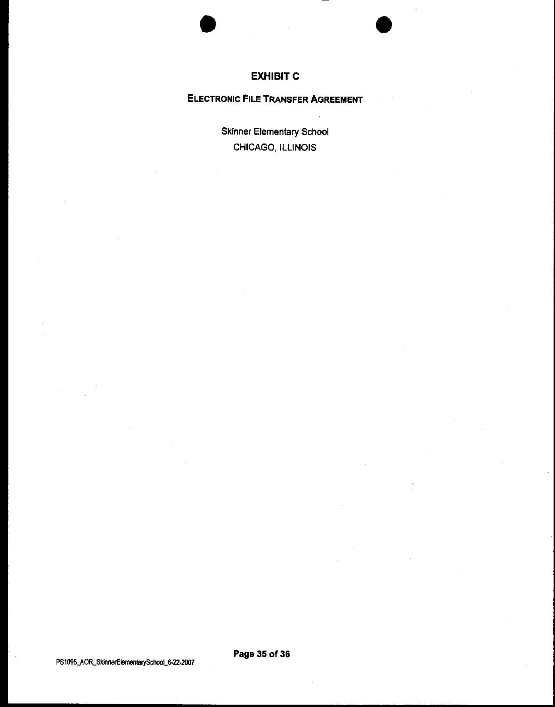



# **EXHIBIT C**

# **ELECTRONIC FILE TRANSFER AGREEMENT**

Skinner Elementary School CHICAGO, ILLINOIS

PS1098\_AOR\_SkinnerElementarySchool\_6-22-2007

**Page 35 of 36**